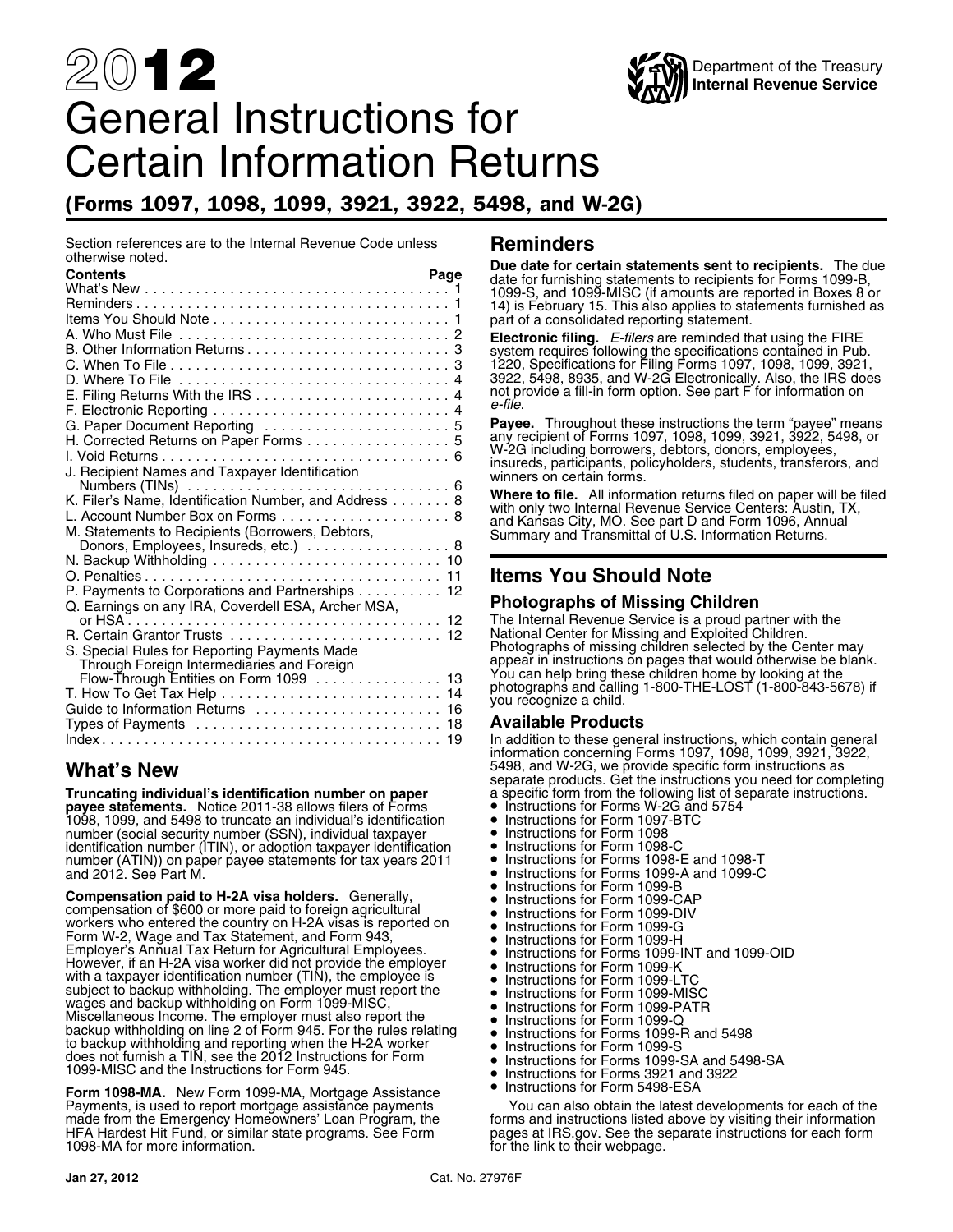# 20**12** General Instructions for Certain Information Returns

### (Forms 1097, 1098, 1099, 3921, 3922, 5498, and W-2G)

Section references are to the Internal Revenue Code unless **Reminders**<br>otherwise noted. otherwise noted. **Due date for certain statements sent to recipients.** The due **Contents Page** date for furnishing statements to recipients for Forms 1099-B, What's New ............................... .... . <sup>1</sup> 1099-S, and 1099-MISC (if amounts are reported in Boxes 8 or Reminders ................................ .... . <sup>1</sup> 14) is February 15. This also applies to statements furnished as Items You Should Note ....................... .... . <sup>1</sup> part of a consolidated reporting statement. A. Who Must File ................................2 **Electronic filing.** *E-filers* are reminded that using the FIRE<br>B. Other Information Returns.......................3 system requires following the specifications contai C. When To File ............................ .... . 3 1220, Specifications for Filing Forms 1097, 1098, 1099, 3921, D. Where To File  $\dots\dots\dots\dots\dots\dots\dots\dots\dots\dots$ . 4 E. Filing Returns With the IRS .................. .... . <sup>4</sup> not provide a fill-in form option. See part F for information on *e-file*. F. Electronic Reporting ....................... .... . <sup>4</sup> G. Paper Document Reporting ................. .... . <sup>5</sup> **Payee.** Throughout these instructions the term "payee" means H. Corrected Returns on Paper Forms any recipient of Forms 1097, 1098, 1099, 3921, 3922, 5498, or ............ .... . <sup>5</sup> W-2G including borrowers, debtors, donors, employees, I. Void Returns ............................. .... . <sup>6</sup> insureds, participants, policyholders, students, transferors, and J. Recipient Names and Taxpayer Identification winners on certain forms. Numbers (TINs) .......................... .... . <sup>6</sup> **Where to file.** All information returns filed on paper will be filed K. Filer's Name, Identification Number, and Address . . .... . <sup>8</sup> with only two Internal Revenue Service Centers: Austin, TX, L. Account Number Box on Forms ............... .... . <sup>8</sup> and Kansas City, MO. See part D and Form 1096, Annual M. Statements to Recipients (Borrowers, Debtors, Summary and Transmittal of U.S. Information Returns. Donors, Employees, Insureds, etc.) ............ .... . <sup>8</sup> N. Backup Withholding ....................... ... . 10 O. Penalties ............................... ... . <sup>11</sup> **Items You Should Note** P. Payments to Corporations and Partnerships ...... ... . 12 Q. Earnings on any IRA, Coverdell ESA, Archer MSA, **Photographs of Missing Children** or HSA ................................. ... . 12 The Internal Revenue Service is a proud partner with the R. Certain Grantor Trusts National Center for Missing and Exploited Children. ..................... ... . 12 S. Special Rules for Reporting Payments Made Photographs of missing children selected by the Center may appear in instructions on pages that would otherwise be blank. Through Foreign Intermediaries and Foreign You can help bring these children home by looking at the Flow-Through Entities on Form 1099 ........... ... . <sup>13</sup> photographs and calling 1-800-THE-LOST (1-800-843-5678) if T. How To Get Tax Help ...................... ... . <sup>14</sup> you recognize a child. Guide to Information Returns .................. ... . <sup>16</sup> Types of Payments ......................... ... . <sup>18</sup> **Available Products** Index .................................... ... . 19 In addition to these general instructions, which contain general

**Truncating individual's identification number on paper** a specific form from the following list of separate instructions. **payee statements.** Notice 2011-38 allows filers of Forms • Instructions for Forms W-2G and 5754 1098, 1099, and 5498 to truncate an individual's identification • Instructions for Form 1097-BTC number (social security number (SSN), individual taxpayer • Instructions for Form 1098 identification number (ITIN), or adoption taxpayer identification • Instructions for Form 1098-C number (ATIN)) on paper payee statements for tax years 2011 • Instructions for Forms 1098-E and 1098-T and 2012. See Part M. • Instructions for Forms 1099-A and 1099-C

 Instructions for Form 1099-B **Compensation paid to H-2A visa holders.** Generally, •Compensation paid to H-2A visa noiders. Generally, exampled a linstructions for Form 1099-CAP<br>compensation of \$600 or more paid to foreign agricultural • Instructions for Form 1099-DIV compensation of \$600 or more paid to foreign agricultural **•** Instructions for Form 1099-DIV workers who entered the country on H-2A visas is reported on **•** Instructions for Form 1099-G Workers who entered the country on H-2A visas is reported on the linstructions for Form 1099-G<br>Form W-2, Wage and Tax Statement, and Form 943, The linstructions for Form 1099-H Form w-2, wage and Tax Statement, and Form 943, Form The Instructions for Form 1099-H<br>Employer's Annual Tax Return for Agricultural Employees. The Instructions for Forms 1099-However, if an H-2A visa worker did not provide the employer<br>with a taxpayer identification number (TIN), the employee is<br>subject to backup withholding. The employer must report the<br>wages and backup withholding on Form 109 Instructions for Form 1099-LTC subject to backup withholding. The employer must report the •subject to backup withholding. The employer must report the the linstructions for Form 1099-MISC<br>wages and backup withholding on Form 1099-MISC, the substructions for Form 1099-PATF Instructions for Form 1099-PATR Miscellaneous Income. The employer must also report the •Instructions for Form 1099-Q<br>backup withholding on line 2 of Form 945. For the rules relating • Instructions for Forms 1099-1 Dackup withholding on line 2 of Form 945. For the rules relating  $\longrightarrow$  Instructions for Forms 1099-R and 5498<br>to backup withholding and reporting when the H-2A worker • Instructions for Form 1099-S<br>does not furnish a TIN, s does not furnish a TTN, see the 2012 instructions for Form **Careform 1099-SA and 5498-SA**<br>1099-MISC and the Instructions for Form 945. **• Instructions for Forms 3921 and 3922** 

**Form 1098-MA.** New Form 1099-MA, Mortgage Assistance **Commission Contract Constructions** for Form 5498-ESA<br>Payments, is used to report mortgage assistance payments You can also obtain the latest c Payments, is used to report mortgage assistance payments You can also obtain the latest developments for each of the made from the Emergency Homeowners' Loan Program, the forms and instructions listed above by visiting the

Department of the Treasury

**Internal Revenue Service**

In addition to these general instructions, which contain general information concerning Forms 1097, 1098, 1099, 3921, 3922, **What's New** The Matter of the Superior of the S498, and W-2G, we provide specific form instructions as and W-2G we provide specific form instructions as and W-2G we products. Get the instructions you need for completing

- 
- 
- 
- 
- 
- 
- •
- 
- 
- 
- 
- Instructions for Forms 1099-INT and 1099-OID<br>• Instructions for Form 1099-K
- 
- 
- 
- 
- 
- 
- 
- 
- •

made from the Emergency Homeowners' Loan Program, the forms and instructions listed above by visiting their information<br>HFA Hardest Hit Fund, or similar state programs. See Form pages at IRS gov. See the separate instructi for the link to their webpage.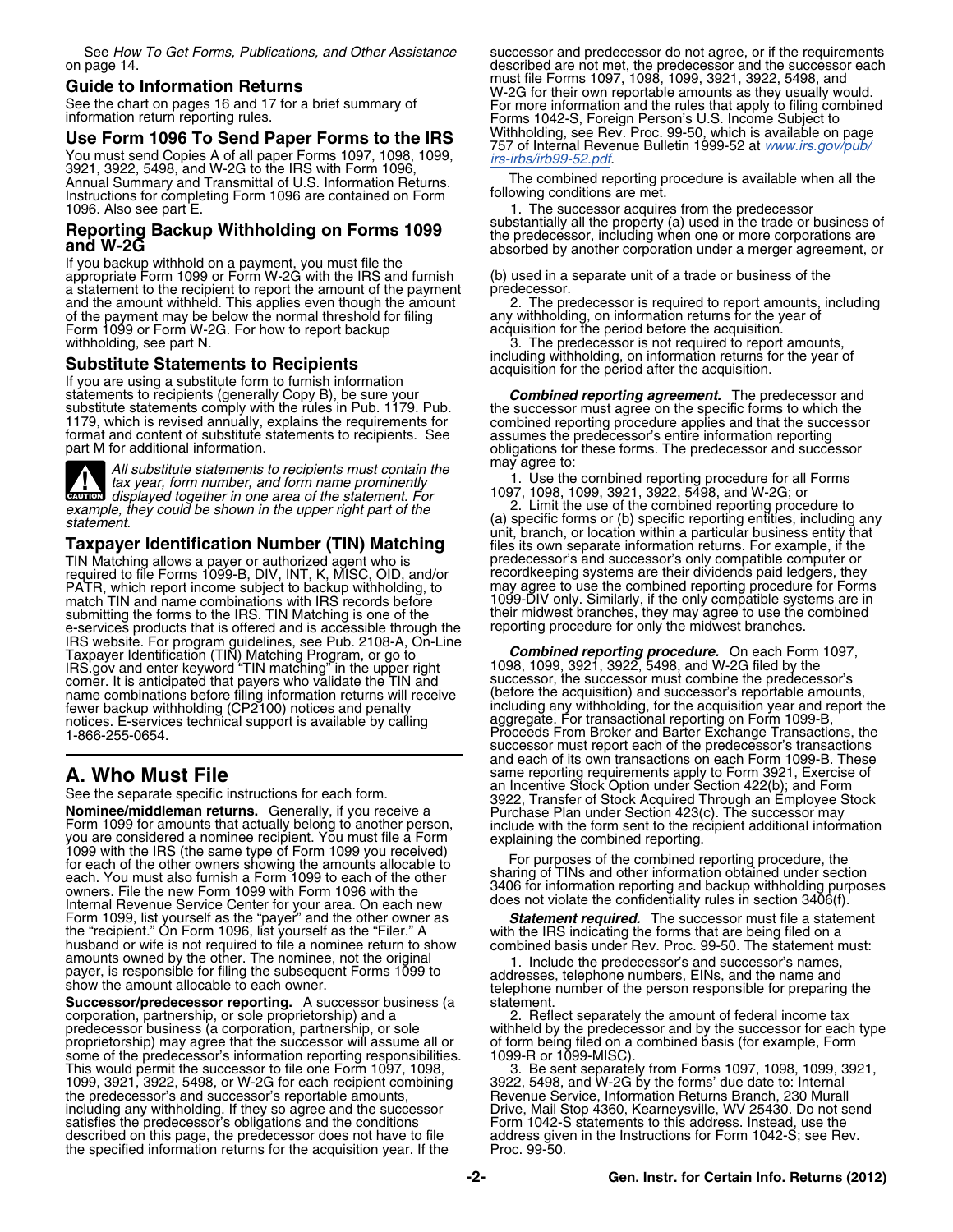Annual Summary and Transmittal of U.S. Information Returns. The combined reporting procedure is available when<br>Instructions for completing Form 1096 are contained on Form all the following conditions are met. Instructions for completing Form 1096 are contained on Form 1096. Also see part E.

If you backup withhold on a payment, you must file the appropriate Form 1099 or Form W-2G with the IRS and furnish (b) used in a separate unit of a trade or business of the a statement to the recipient to report the amount of the payment predecessor.<br>and the amount withheld. This applies even though the amount 2. The preof the payment may be below the normal threshold for filing Form 1099 or Form W-2G. For how to report backup withholding, see part N.

**Substitute Statements to Recipients**<br>
If you are using a substitute form to furnish information<br>
statements to recipients (generally Copy B), be sure your<br>
substitute statements comply with the rules in Pub. 1179. Pub.<br>



All substitute statements to recipients must contain the<br>tax year, form number, and form name prominently<br>displayed together in one area of the statement. For <br>le, they could be shown in the upper right part of the<br>le, the **CAUTION** *displayed together in one area of the statement. For*<br>*displayed together in one area of the statement. For* 

TIN Matching allows a payer or authorized agent who is predecessor's and successor's only compatible computer or<br>required to file Forms 1099-B, DIV, INT, K, MISC, OID, and/or recordkeeping systems are their dividends paid required to file Forms 1099-B, DIV, INT, K, MISC, OID, and/or recordkeeping systems are their dividends paid ledgers, they PATR, which report income subject to backup withholding, to may agree to use the combined reporting procedure for Forms match TIN and name combinations with IRS records before the their midwest branches, they may agree to use the<br>submitting the forms to the IRS. TIN Matching is one of the their midwest branches, they may agree to use the<br>ee-services products that is offered and is accessible through the IRS website. For program guidelines, see Pub. 2108-A, On-Line Taxpayer Identification (TIN) Matching Program, or go to *Combined reporting procedure.* On each Form 1097, IRS.gov and enter keyword "TIN matching" in the upper right 1098, 1099, 3921, 3922, 5498, and W-2G filed by the corner. It is anticipated that payers who validate the TIN and successor, the successor must combine the predecessor's name combinations before filing information returns will receive (before the acquisition) and successor's reportable amounts, fewer backup withholding (CP2100) notices and penalty including any withholding, for the acquisition year and report the notices. E-services technical support is available by calling aggregate. For transactional reporting on Form 1099-B, notices. E-services technical support is available by calling aggregate. For transactional reporting on Form 1099-B,<br>1-866-255-0654. Proceeds From Broker and Barter Exchange Transactions, the

See the separate specific instructions for each form.<br> **Nominee/middleman returns.** Generally, if you receive a<br> **Nominee/middleman returns.** Generally, if you receive a<br>
Form 1099 for amounts that actually belong to anoth Internal Revenue Service Center for your area. On each new does not violate the confidentiality rules in section 3406(f).<br>Form 1099, list yourself as the "payer" and the other owner as **Statement required.** The successor m husband or wife is not required to file a nominee return to show<br>amounts owned by the other. The nominee, not the original<br>1. Include the predecessor's and successor's names,

corporation, partnership, or sole proprietorship) and a 2. Reflect separately the amount of federal income tax<br>predecessor business (a corporation, partnership, or sole withheld by the predecessor and by the successor for proprietorship) may agree that the successor will assume all or of form being filed on a some of the predecessor's information reporting responsibilities. 1099-R or 1099-MISC) some of the predecessor's information reporting responsibilities.<br>This would permit the successor to file one Form 1097, 1098, 1099, 3921, 3922, 5498, or W-2G for each recipient combining the predecessor's and successor's reportable amounts, including any withholding. If they so agree and the successor satisfies the predecessor's obligations and the conditions described on this page, the predecessor does not have to file the specified information returns for the acquisition year. If the

See *How To Get Forms, Publications, and Other Assistance* successor and predecessor do not agree, or if the requirements on page 14. described are not met, the predecessor and the successor each must file Forms 1097, 1098, 1099, 3921, 3922, 5498, and<br>See the chart on pages 16 and 17 for a brief summary of Theorem over einformation and the rules that apply to filing combined<br>See the chart on pages 16 and 17 for a b information return reporting rules.<br> **Use Form 1096 To Send Paper Forms to the IRS**<br>
You must send Copies A of all paper Forms 1097, 1098, 1099,<br>
You must send Copies A of all paper Forms 1097, 1098, 1099,<br>
The combined re

1. The successor acquires from the predecessor<br>substantially all the property (a) used in the trade or business of<br>the predecessor, including when one or more corporations are **Reporting Backup Withholding on Forms 1099** Supstantially all the property (a) used in the trade or business of the predecessor, including when one or more corporations are absorbed by another corporation under a merger a

2. The predecessor is required to report amounts, including any withholding, on information returns for the year of acquisition for the period before the acquisition.

3. The predecessor is not required to report amounts,

1179, which is revised annually, explains the requirements for<br>format and content of substitute statements to recipients. See<br>part M for additional information.<br>all substitute attenuation to recipients must contain the may

example, they could be shown in the upper right part of the<br>statement.<br>Taxpayer Identification Number (TIN) Matching<br>Taxpayer Identification Number (TIN) Matching<br>Files its own separate information returns. For example, if match TIN and name compatible systems are in their midwest branches, they may agree to use the combined

successor must report each of the predecessor's transactions and each of its own transactions on each Form 1099-B. These **A. Who Must File**<br>
and exercise proporting requirements apply to Form 3921, Exercise of<br>
an Incentive Stock Option under Section 422(b); and Form<br>
3922, Transfer of Stock Acquired Through an Employee Stock

amounts owned by the other. The nominee, not the original payer, is responsible for filing the subsequent Forms 1099 to<br>
show the amount allocable to each owner.<br>
Successor/predecessor reporting. A successor business (a<br>
c

withheld by the predecessor and by the successor for each type<br>of form being filed on a combined basis (for example, Form

The successor to file one Forms 1097, 1098, 1099, 3921, 3922, 5498, and W-2G by the forms' due date to: Internal Revenue Service, Information Returns Branch, 230 Murall Drive, Mail Stop 4360, Kearneysville, WV 25430. Do not send<br>Form 1042-S statements to this address. Instead, use the address given in the Instructions for Form 1042-S; see Rev.<br>Proc. 99-50.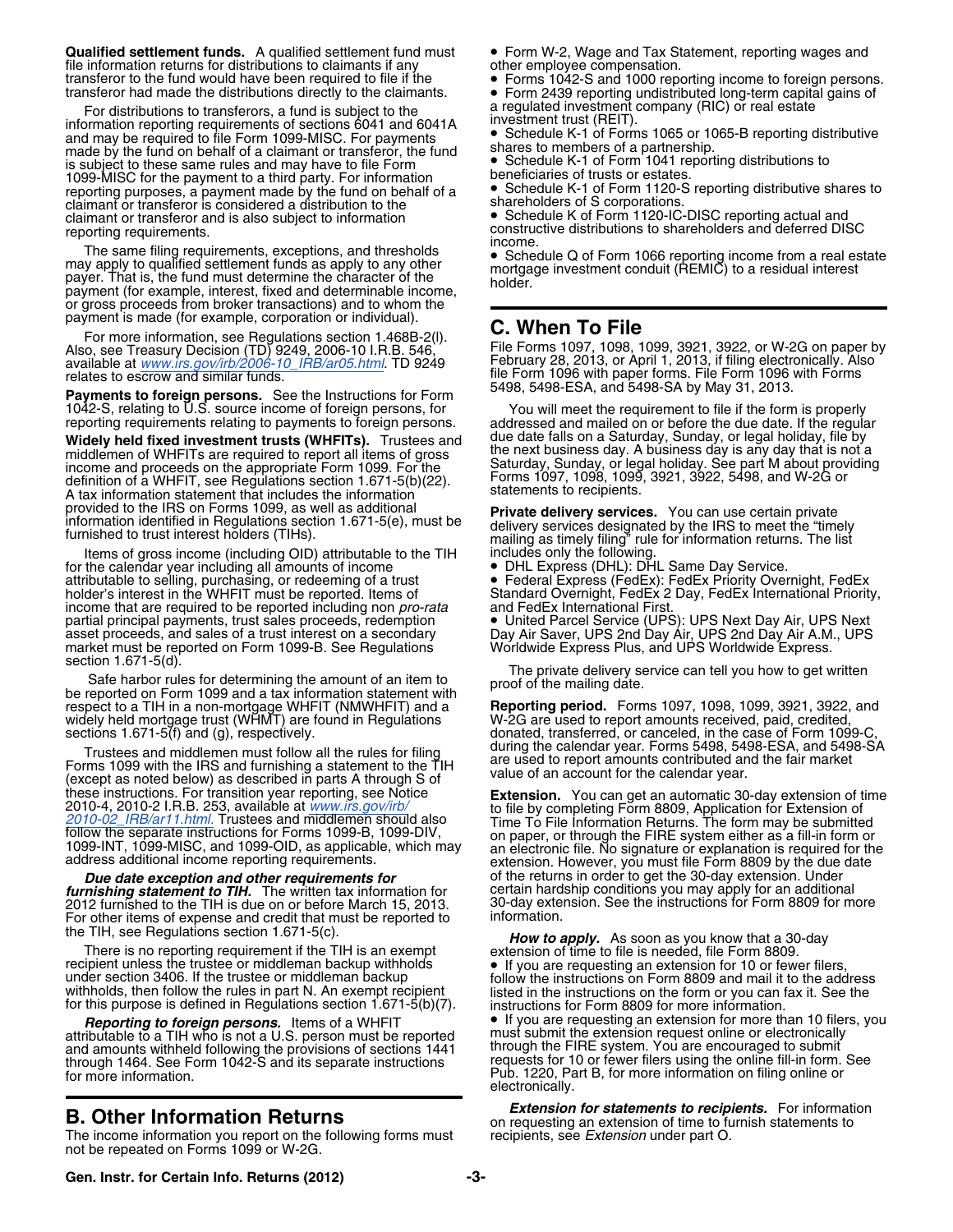**Qualified settlement funds.** A qualified settlement fund must • Form W-2, Wage and Tax Statement, reporting wages and file information returns for distributions to claimants if any better employee compensation. file information returns for distributions to claimants if any other employee compensation.<br>
transferor to the fund would have been required to file if the • Forms 1042-S and 1000 reporting income to foreign persons.

transferor had made the distributions directly to the claimants.<br>
Form 2439 reporting undistributed long-term capital gains of<br>
For distributions to transferors, a fund is subject to the<br>
information reporting requirements and may be required to file Form 1099-MISC. For payments **COM** Schedule K-1 of Forms 1065 or 10<br>made by the fund on behalf of a claimant or transferor, the fund shares to members of a partnership. made by the fund on behalf of a claimant or transferor, the fund<br>is subject to these same rules and may have to file Form<br>Chefund 1017 of Form 1041 reporting distributions to is subject to these same rules and may have to file Form • Schedule K-1 of Form 1041 reporting subject to these same rules and may have to file Form • Schedule K-1 of Form 1041 reporting to a third party. For information 1099-MISC for the payment to a third party. For information beneficiaries of trusts or estates.<br>reporting purposes a payment made by the fund on behalf of a Chedule K-1 of Form 1120-S reporting distributive shares to reporting purposes, a payment made by the fund on behalf of a  $\bullet$  Schedule K-1 of Form 1120-<br>Claimant or transferor is considered a distribution to the shareholders of S corporations claimant or transferor is considered a distribution to the shareholders of S corporations.<br>claimant or transferor and is also subject to information • Schedule K of Form 1120-IC-DISC reporting actual and claimant or transferor and is also subject to information

The same filing requirements, exceptions, and thresholds may apply to qualified settlement funds as apply to any other The same filing requirements, exceptions, and thresholds<br>may apply to qualified settlement funds as apply to any other<br>payer. That is, the fund must determine the character of the<br>payment (for example, interest, fixed and or gross proceeds from broker transactions) and to whom the

payment is made (for example, corporation or individual). **C. When To File** For more information, see Regulations section 1.468B-2(l).

**Fayments to foreign persons.** See the Instructions for Form<br>1042-S, relating to U.S. source income of foreign persons, for You will meet the requirement to file if the form is properly

**Widely held fixed investment trusts (WHFITs).** Trustees and due date falls on a Saturday, Sunday, or legal holiday, file by middlemen of WHFITs are required to report all items of gross middlemen of WHFITs are required to report all items of gross income and proceeds on the appropriate Form 1099. For the definition of a WHFIT, see Regulations section 1.671-5(b)(22). A tax information statement that includes the information

Items of gross income (including OID) attributable to the TIH for the calendar year including all amounts of income attributable to selling, purchasing, or redeeming of a trust attributable to selling, purchasing, or redeeming of a trust and the Calendar year including all amounts of income<br>attributable to selling, purchasing, or redeeming of a trust **•** Federal Express (FedEx): FedEx Priority Ov income that are required to be reported including non *pro-rata* and FedEx International First.<br>
partial principal payments, trust sales proceeds, redemption • United Parcel Service (UPS): UPS Next Day Air, UPS Next partial principal payments, trust sales proceeds, redemption exame proceeds, and sales of a trust interest on a secondary<br>market must be reported on Form 1099-B. See Regulations<br>section 1.671-5(d).

Section not requipped to the private delivery service can tell you how to get written<br>Safe harbor rules for determining the amount of an item to<br>be reported on Form 1099 and a tax information statement with respect to a TIH in a non-mortgage WHFIT (NMWHFIT) and a widely held mortgage trust (WHMT) are found in Regulations sections 1.671-5(f) and (g), respectively.

Trustees and middlemen must follow all the rules for filing<br>Forms 1099 with the IRS and furnishing a statement to the TIH<br>(except as noted below) as described in parts A through S of value of an account for the calendar ye Extension. You can get an automatic 30-day extension of time<br>
2010-4, 2010-2 I.R.B. 253, available at *[www.irs.gov/irb/](www.irs.gov/irb/2010-02_IRB/ar11.html)*<br> [2010-02\\_IRB/ar11.html.](www.irs.gov/irb/2010-02_IRB/ar11.html) Trustees and middlemen should also<br>
follow the separate instructions for Form

2012 furnished to the TIH is due on or before March 15, 2013. 30-day extension. See the information. See the instructions for more information. For other items of expense and credit that must be reported to the TIH, see Regulations section 1.671-5(c).

recipient unless the trustee or middleman backup withholds **and the external of the section** 3406. If the trustee or middleman backup follow the instructions on Form 8809 and mail it to the address withholds, then follow the rules in part N. An exempt recipient listed in the instructions on the form or you can fax it. See the for this purpose is defined in Regulations section 1.671-5(b)(7). instructions for Form 8809

attributable to a TIH who is not a U.S. person must be reported must submit the extension request online or electronically and amounts withheld following the provisions of sections 1441 through the FIRE system. You are encouraged to submit through 1464. See Form 1042-S and its separate instructions equests for 10 or fewer filers using the onli through 1464. See Form 1042-S and its separate instructions requests for 10 or fewer filers using the online fill-in form. See<br>for more information, on filing online or

The income information you report on the following forms must not be repeated on Forms 1099 or W-2G.

reporting requirements.<br>
reporting requirements.<br>
Fincome.

File Forms 1097, 1098, 1099, 3921, 3922, or W-2G on paper by<br>February 28, 2013, or April 1, 2013, if filing electronically. Also available at *[www.irs.gov/irb/2006-10\\_IRB/ar05.html](http://www.irs.gov/irb/2006-10_IRB/ar05.html)*. TD 9249 February 28, 2013, or April 1, 2013, if filing electronically. Also relates to estrow and similar funds.<br>relates to escrow and similar funds.<br>Reviewents to fergive paragence. See the lightwettens for Form 5498, 5498-ESA, and 5498-SA by May 31, 2013.

reporting requirements relating to payments to foreign persons. addressed and mailed on or before the due date. If the regular<br>Widely held fixed investment trusts (WHFITs). Trustees and due date falls on a Saturday, Sunday Saturday, Sunday, or legal holiday. See part M about providing<br>Forms 1097, 1098, 1099, 3921, 3922, 5498, and W-2G or<br>statements to recipients.

provided to the IRS on Forms 1099, as well as additional<br>information identified in Regulations section 1.671-5(e), must be<br>furnished to trust interest holders (TIHs).<br>Items of gross income (including OID) attributable to t

Standard Overnight, FedEx 2 Day, FedEx International Priority, and FedEx International First.

**Reporting period.** Forms 1097, 1098, 1099, 3921, 3922, and W-2G are used to report amounts received, paid, credited, donated, transferred, or canceled, in the case of Form 1099-C, during the calendar year. Forms 5498, 5498-ESA, and 5498-SA

dress additional income reporting requirements.<br> **Due date exception and other requirements for** of the returns in order to get the 30-day extension. Under<br> **Due date exception and other requirements for** of the returns in furnishing statement to TIH. The written tax information for experience and hardship conditions you may apply for an additional *furnishing statement to TIH*. The written tax information for experience and an additional *a* 

the TIH, see Regulations section 1.671-5(c).<br>There is no reporting requirement if the TIH is an exempt **How to apply.** As soon as you know that a 30-day extension of time to file is needed, file Form 8809.<br>There is no repo

**Reporting to foreign persons.** Items of a WHFIT **• If you are requesting an extension for more than 10 filers, you** electronically.

**Extension for statements to recipients.** For information **B. Other Information Returns**<br>The income information you report on the following forms must<br>recipients, see *Extension* under part O.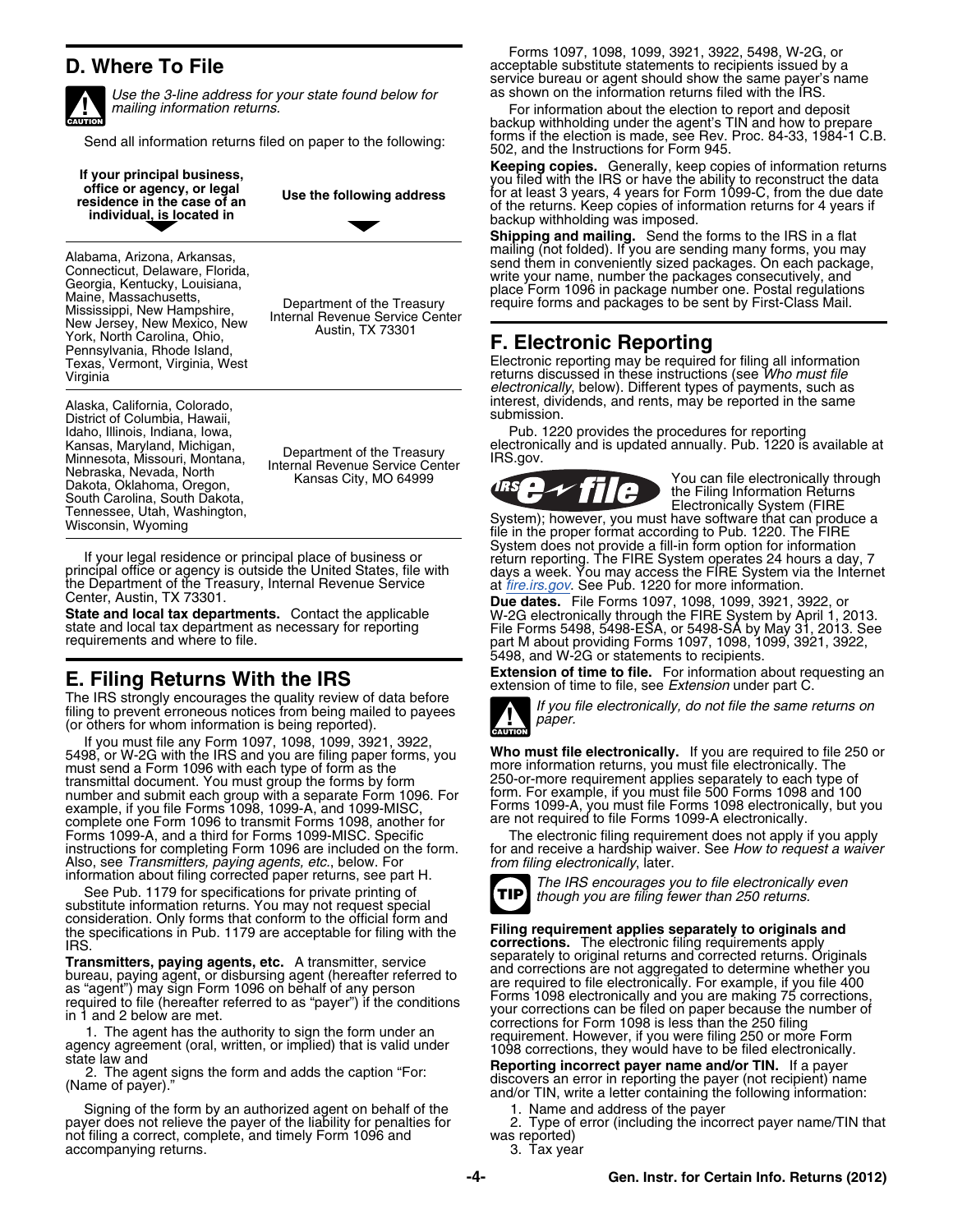

*Use the 3-line address for your state found below for mailing information returns.* 



District of Columbia, Hawaii, Idaho, Illinois, Indiana, Iowa, Minnesota, Missouri, Montana, Department of the Treasury<br>
Minnesota, Nissouri, Montana, Internal Revenue Service Center<br>
Nebraska, Newsda, Oklahoma, Oregon, Kansas City, MO 64999<br>
South Carolina, South Dakota,<br>
The Filing

If your legal residence or principal place of business or<br>principal office or agency is outside the United States, file with<br>the Department of the Treasury, Internal Revenue Service<br>the Department of the Treasury, Internal

**E. Filing Returns With the IRS**<br>The IRS strongly encourages the quality review of data before<br>filing to prevent erroneous notices from being mailed to payees<br>(or others for whom information is being reported).

If you must file any Form 1097, 1098, 1099, 3921, 3922, 5498, or W-2G with the IRS and you are filing paper forms, you **Who must file electronically.** If you are required to file 250 or must send a Form 1096 with each type of form as the more information returns, you must file electronically. The more information returns, you must file electronically. The transmittal document. You must group the forms by transmittal document. You must group the forms by form example and the requirement applies separately to each type of<br>250-or-more requirement applies separate forms to the form form. For example, if you must file 500 Forms number and submit each group with a separate Form 1096. For example, if you file Forms 1098, 1099-A, and 1099-MISC, complete one Form 1096 to transmit Forms 1098, another for are not required to file Forms 1099-A electronically.<br>
Forms 1099-A, and a third for Forms 1099-MISC. Specific The electronic filing requirement does not apply if instructions for completing Form 1096 are included on the form. for and receive a hardship waiver. See How to request a waiver<br>Also, see Transmitters, paying agents, etc., below. For from filing electronically, later.<br>info

See Pub. 1179 for specifications for private printing of<br>See Pub. 1179 for specifications for private printing of<br>substitute information returns. You may not request special consideration. Only forms that conform to the official form and the specifications in Pub. 1179 are acceptable for filing with the **Filing requirement applies separately to originals and**<br>IRS. **Corrections.** The electronic filing requirements apply

Signing of the form by an authorized agent on behalf of the 1. Name and address of the payer<br>/er does not relieve the payer of the liability for penalties for 12. Type of error (including the incorrect payer name/TIN that payer does not relieve the payer of the liability for penalties for 2. Type of not filing a correct, complete, and timely Form 1096 and was reported) not filing a correct, complete, and timely Form 1096 and was reported)<br>accompanying returns. 3. Tax year accompanying returns.

Forms 1097, 1098, 1099, 3921, 3922, 5498, W-2G, or **D. Where To File and The acceptable substitute statements to recipients issued by a** acceptable substitute statements to recipients issued by a service bureau or agent should show the same payer's name as shown on the information returns filed with the IRS.

For information about the election to report and deposit backup withholding under the agent's TIN and how to prepare forms if the election is made, see Rev. Proc. 84-33, 1984-1 C.B. Send all information returns filed on paper to the following: 502, and the Instructions for Form 945.

If your principal business,<br>
office or agency, or legal<br>
residence in the case of an<br>
individual, is located in<br>
individual, is located in<br>  $\begin{array}{ccc}\n & \text{Keeping copies.} & \text{Generally, keep copies of information returns} \\
 & \text{you filed with the IRS or have the ability to reconstruct the data for at least 3 years, 4 years for Form 1099-C, from the due date of the returns. Keep copies of information returns for$ 

**Shipping and mailing.** Send the forms to the IRS in a flat mailing (not folded). If you are sending many forms, you may Alabama, Arizona, Arkansas,<br>
Connecticut, Delaware, Florida,<br>
Connecticut, Delaware, Florida,<br>
Georgia, Kentucky, Louisiana,<br>
Maine, Massachusetts,<br>
Maine, Massachusetts,<br>
Maine, Massachusetts,<br>
Maine, Massachusetts,<br>
Main

### **F. Electronic Reporting**

Texas, Vermont, Virginia, West Electronic reporting may be required for filing all information Virginia returns discussed in these instructions (see *Who must file electronically*, below). Different types of payments, such as Alaska, California, Colorado, interest, dividends, and rents, may be reported in the same<br>District of Columbia, Hawaii

Pub. 1220 provides the procedures for reporting<br>electronically and is updated annually. Pub. 1220 is available at



Center, Austin, TX 73301.<br>
State and local tax departments. Contact the applicable<br>
state and local tax departments as necessary for reporting<br>
File Forms 5498, 5498-ESA, or 5498-SA by May 31, 2013. See<br>
requirements and w part M about providing Forms 1097, 1098, 1099, 3921, 3922, 5498, and W-2G or statements to recipients.



Forms 1099-A, you must file Forms 1098 electronically, but you are not required to file Forms 1099-A electronically.



Transmitters, paying agents, etc. A transmitters environment and corrections. The electronic filing requirements apply<br>and corrections. The electronic filing requirements apply<br>and corrections are not aggregated to determi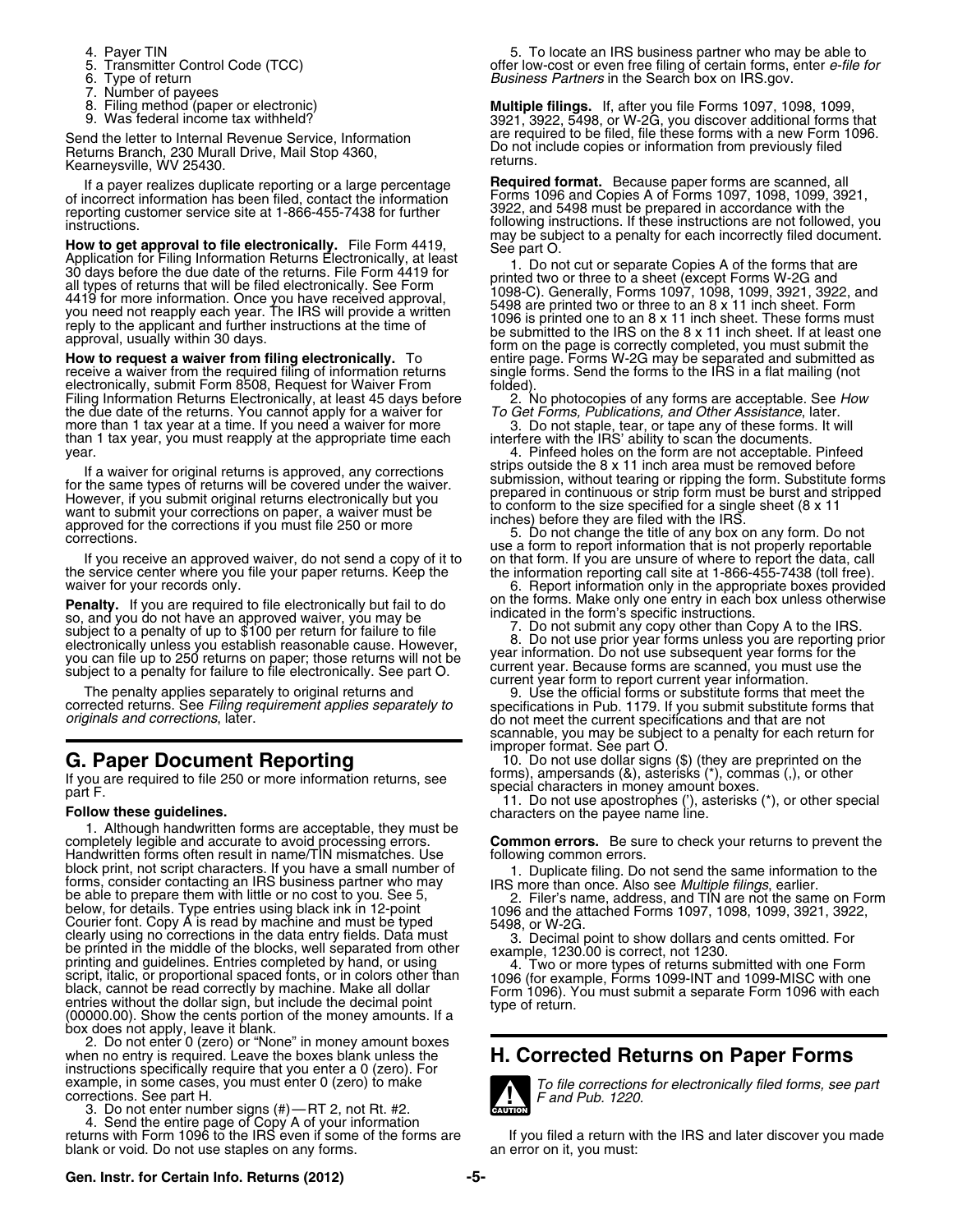- 
- 
- 
- 
- Number of payees<br>Filing method (paper or electronic)
- 

Filing Information Returns. Electronically, at least 45 days before **To Get Forms, Publications**, and Other Assistance, later.<br>
the due date of the returns. You cannot apply for a waiver for *To Get Forms, Publications, an* than 1 tax year, you must reapply at the appropriate time each

If a waiver for original returns is approved, any corrections<br>
for the same types of returns will be covered under the waiver.<br>
To the same types of returns will be conformed the conform to the size specified for a single

**Penalty.** If you are required to file electronically but fail to do<br>so, and you do not have an approved waiver, you may be<br>subject to a penalty of up to \$100 per return for failure to file<br>subject to a penalty of up to \$1

1. Although handwritten forms are acceptable, they must be completely legible and accurate to avoid processing errors. **Common errors.** Be sure to check your returns to prevent the Handwritten forms often result in name/TIN mismatches. Use following common errors.<br>block print, not script characters. If you have a small number of<br>forms, consider contacting an IRS business partner who may IRS more than block print, not script characters. If you have a small number of<br>forms, consider contacting an IRS business partner who may<br>be able to prepare them with little or no cost to you. See 5,<br>below, for details. Type entries us (00000.00). Show the cents portion of the money amounts. If a box does not apply, leave it blank.

2. Do not enter 0 (zero) or "None" in money amount boxes<br>when no entry is required. Leave the boxes blank unless the **H. Corrected Returns on Paper Forms**<br>instructions specifically require that you enter a 0 (zero). For example, in some cases, you must enter 0 (zero) to make<br> **To file corrections for electronically filed forms, see part**<br> **To file corrections for electronically filed forms, see part**<br> **To file corrections for electronical** 

3. Do not enter number signs (#)—RT 2, not Rt. #2. returns with Form 1096 to the IRS even if some of the forms are If you filed a return with the IRS and later discover you made<br>blank or void. Do not use staples on any forms.<br> blank or void. Do not use staples on any forms.

4. Payer TIN 4. Payer TIN 6. To locate an IRS business partner who may be able to business partner who may be able to server the filing of certain forms, enter *e-file f*  $\frac{1}{2}$ . Transmitter Control Code (TCC) Transmitter Control Code (TCC) offer low-cost or even free filing of certain forms, enter *e-file for*<br>
Susiness Partners in the Search box on IRS.gov. 6. Type of return **business Partners** in the Search box on IRS.gov.<br>7. Number of pavees

8. Filing method (paper or electronic) **Multiple filings.** If, after you file Forms 1097, 1098, 1099, 1099, 1099, 1099, 1099, 1099, income tax withheld? 3921, 3922, 5498, or W-2G, you discover additional forms that Send the letter to Internal Revenue Service, Information are required to be filed, file these forms with a new Form 1096.<br>
Returns Branch, 230 Murall Drive, Mail Stop 4360,<br>
Kearneysville, WV 25430.<br>
If a payer realizes du

If a payer realizes duplicate reporting or a large percentage<br>
of incorrect information has been filed, contact the information<br>
of incorrect information has been filed, contact the information<br>
instructions. If these if

3. Do not staple, tear, or tape any of these forms. It will interfere with the IRS' ability to scan the documents.

year.<br>
4. Pinfeed holes on the form are not acceptable. Pinfeed<br>
If a waiver for original returns is approved, any corrections<br>
Strips outside the 8 x 11 inch area must be removed before

corrected returns. See Filing requirement applies separately to specifications in Pub. 1179. If you submit substitute forms that do not meet the current specifications and that are not scannable, you may be subject to a penalty for each return for improper format. See part O.

**G. Paper Document Reporting** 10. Do not use dollar signs (\$) (they are preprinted on the

If you are required to file 250 or more information returns, see forms), ampersands (&), asterisks (\*), commas (,), or other<br>part F. [1] Do not use apostrophes ('), asterisks (\*), or other special<br>**Follow these guidelines.** 



### **Gen. Instr. for Certain Info. Returns (2012) -5-**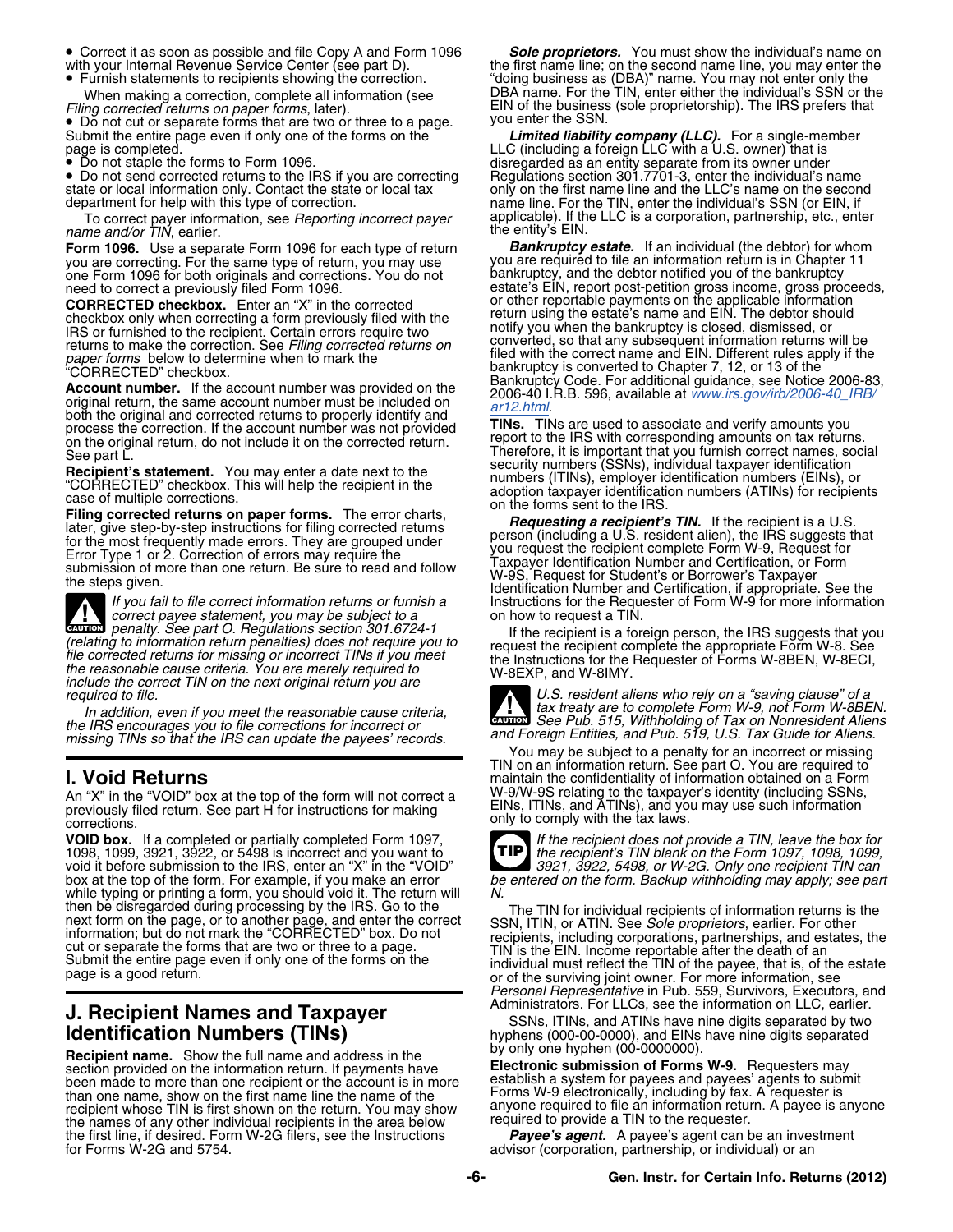- Correct it as soon as possible and file Copy A and Form 1096 *Sole proprietors.* You must show the individual's name on
- Furnish statements to recipients showing the correction. When making a correction, complete all information (see Filing corrected returns on paper forms, later).

• Do not cut or separate forms that are two or three to a page.

• Do not staple the forms to Form 1096.

• Do not send corrected returns to the IRS if you are correcting

To correct payer information, see *Reporting incorrect payer* applicable). If the LLC is a corporation, partnership, etc., enter<br>*name and/or TIN*, earlier. we report the entity's EIN.

you are correcting. For the same type of return, you may use you are required to file an information return is in Chapter 11 one Form 1096 for both originals and corrections. You do not bankruptcy, and the debtor notified you of the bankruptcy

**Exercise that's statement.** You may enter a date next to the<br>
"CORRECTED" checkbox. This will help the recipient in the<br>
"CORRECTED" checkbox. This will help the recipient in the<br>
race of multiple corrections.<br>
Iding corr

*correct payee statement, you may be subject to a*<br> **CAUTION** *penalty. See part O. Regulations section 301.6724-1* If the recipient is a for Given by Denaity. See part O. Hegulations section 301.6724-1<br>
(relating to information return penalties) does not require you to<br>
the recipient is a foreign person, the IRS suggests that you<br>
fit the recipient is a foreign

*the IRS encourages you to file corrections for incorrect or missing TINs so that the IRS can update the payees' records. and Foreign Entities, and Pub. 519, U.S. Tax Guide for Aliens.*

An "X" in the "VOID" box at the top of the form will not correct a<br>previously filed return. See part H for instructions for making EINs, ITINs, and ATINs), and yo<br>corrections. corrections.

**VOID box.** If a completed or partially completed Form 1097, *If the recipient does not provide a TIN, leave the box for* 1098, 1099, 3921, 3922, or 5498 is incorrect and you want to *the recipient's TIN blank on the Form 1097, 1098, 1099,* void it before submission to the IRS, enter an "X" in the "VOID" **16 and 1991** *Safety* in the "VOID" box at the top of the form. For example, if you make an error **1992**, see particle in the form. Backup withholding may a while typing or printing a form, you should void it. The return will M.<br>then be disregarded during processing by the IRS. Go to the

Recipient name. Show the full name and address in the **Electronic submission of Forms W-9.** Requesters may section provided on the information return. If payments have **Electronic submission of Forms W-9.** Requesters may b been made to more than one recipient or the account is in more establish a system for payees and payees' agents to submit Forms W-9 electronically, including by fax. A requester is than one name, show on the first name line the name of the the names of any other individual recipients in the area below equired to provide a TIN to the requester. the first line, if desired. Form W-2G filers, see the Instructions **Payee's agent.** A payee's agent can be an investment for Forms W-2G and 5754.

with your Internal Revenue Service Center (see part D). the first name line; on the second name line, you may enter the Furtherments as (DBA)" name. You may not enter only the CDBA name. For the TIN, enter either the individual's SSN or the *Filing of the business (sole proprietorship). The IRS prefers that you enter the SSN.* 

Submit the entire page even if only one of the forms on the **Limited liability company (LLC).** For a single-member<br>page is completed. disregarded as an entity separate from its owner under<br>Regulations section 301.7701-3, enter the individual's name state or local information only. Contact the state or local tax only on the first name line and the LLC's name on the second<br>department for help with this type of correction.<br>To correct payer applicable). If the LLC is a c

**Form 1096.** Use a separate Form 1096 for each type of return **Bankruptcy estate.** If an individual (the debtor) for whom you are correcting. For the same type of return, you may use you are required to file an information one Form 1096 for both originals and corrections. You do not<br>need to correct a previously filed Form 1096.<br>**CORRECTED checkbox**. Enter an "X" in the corrected<br>checkbox only when correcting a form previously filed with the<br> Checkbox only when correcting a form previously filed with the<br>
IRS or furnished to the recipient. Certain errors require two<br>
IRS or furnished to the recipient. Certain errors require two<br>
paper forms below to determine

Therefore, it is important that you furnish correct names, social security numbers (SSNs), individual taxpayer identification

IF you fail to file correct information returns or furnish a<br>If you fail to file correct information returns or furnish a<br>correct payee statement, you may be subject to a<br>on how to request a TIN.

*U.S. resident aliens who rely on a "saving clause" of a* In addition, even if you meet the reasonable cause criteria,<br>In addition, even if you meet the reasonable cause criteria,<br>IRS encourages you to file corrections for incorrect or

TIN on an information return. See part O. You are required to **I. Void Returns interest in the confidentiality of information obtained on a Form** W-9/W-9S relating to the taxpayer's identity (including SSNs, EINs, ITINs, and ATINs), and you may use such information



be entered on the form. Backup withholding may apply; see part

the TIN for individual recipients of information returns is the<br>next form on the page, or to another page, and enter the correct<br>information; but do not mark the "CORINECTED" box. Do not<br>cut or separate the forms that are *Personal Representative* in Pub. 559, Survivors, Executors, and *Personal Representative* in Pub. 559, Survivors, Executors, and *Administrators.* For LLCs, see the information on LLC, earlier.

**J. Recipient Names and Taxpayer**<br> **Identification Numbers (TINs)**<br>
Recipient name Show the full name and address in the state of the state of the state of the state of the state of the state of the state of the state of t

recipient whose TIN is first shown on the return. You may show anyone required to file an information return. A payee is anyone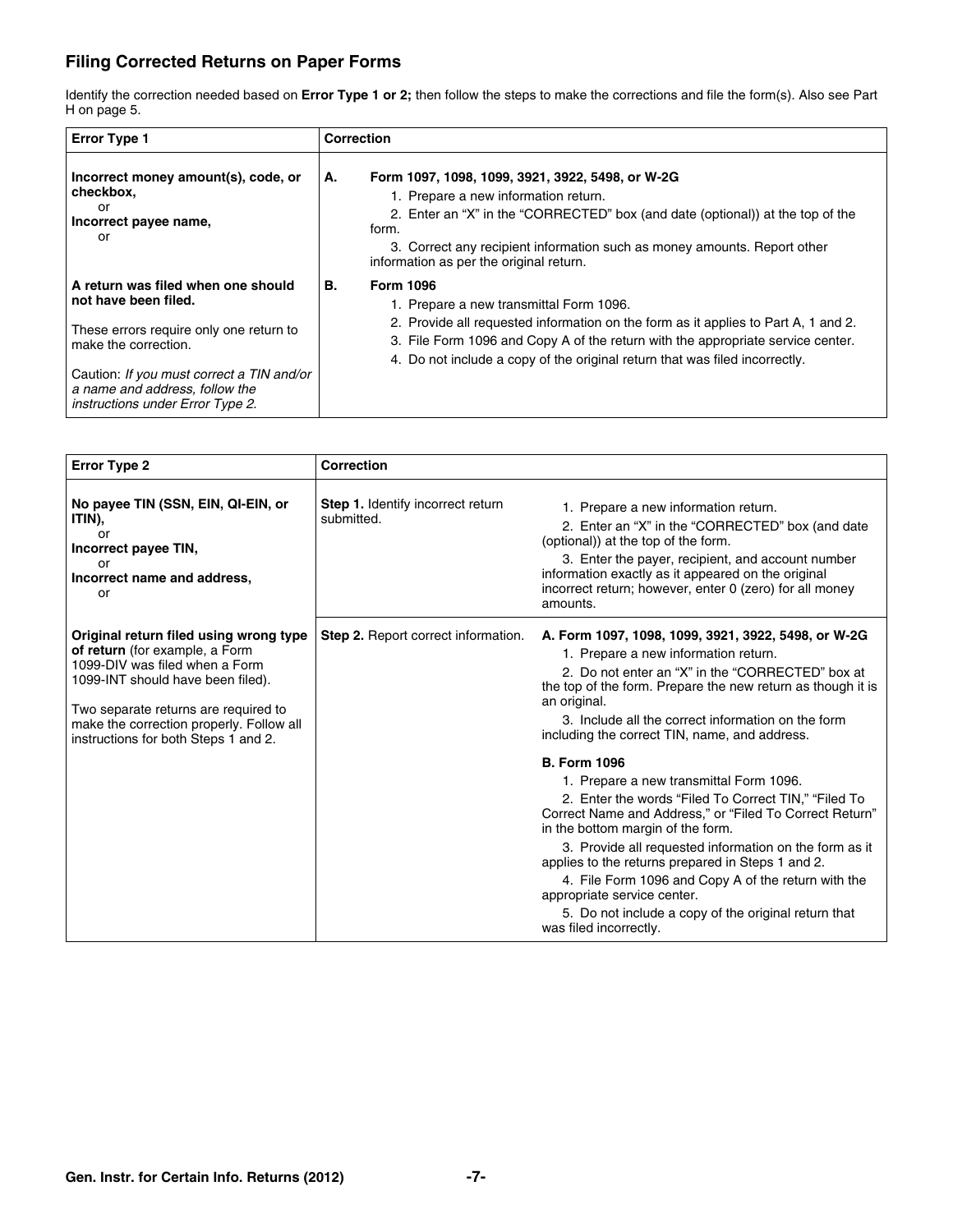### **Filing Corrected Returns on Paper Forms**

Identify the correction needed based on **Error Type 1 or 2;** then follow the steps to make the corrections and file the form(s). Also see Part H on page 5.

| <b>Error Type 1</b>                                                                                                                                                                                                                              | Correction                                                                                                                                                                                                                                                                                                                |
|--------------------------------------------------------------------------------------------------------------------------------------------------------------------------------------------------------------------------------------------------|---------------------------------------------------------------------------------------------------------------------------------------------------------------------------------------------------------------------------------------------------------------------------------------------------------------------------|
| Incorrect money amount(s), code, or<br>checkbox,<br>or<br>Incorrect payee name,<br>or                                                                                                                                                            | Form 1097, 1098, 1099, 3921, 3922, 5498, or W-2G<br>А.<br>1. Prepare a new information return.<br>2. Enter an "X" in the "CORRECTED" box (and date (optional)) at the top of the<br>form.<br>3. Correct any recipient information such as money amounts. Report other<br>information as per the original return.          |
| A return was filed when one should<br>not have been filed.<br>These errors require only one return to<br>make the correction.<br>Caution: If you must correct a TIN and/or<br>a name and address, follow the<br>instructions under Error Type 2. | <b>Form 1096</b><br>В.<br>1. Prepare a new transmittal Form 1096.<br>2. Provide all requested information on the form as it applies to Part A, 1 and 2.<br>3. File Form 1096 and Copy A of the return with the appropriate service center.<br>4. Do not include a copy of the original return that was filed incorrectly. |

| <b>Error Type 2</b>                                                                                                                                                                                                                                                         | <b>Correction</b>                                      |                                                                                                                                                                                                                                                                                                                                                                                                                                                                                                               |
|-----------------------------------------------------------------------------------------------------------------------------------------------------------------------------------------------------------------------------------------------------------------------------|--------------------------------------------------------|---------------------------------------------------------------------------------------------------------------------------------------------------------------------------------------------------------------------------------------------------------------------------------------------------------------------------------------------------------------------------------------------------------------------------------------------------------------------------------------------------------------|
| No payee TIN (SSN, EIN, QI-EIN, or<br>ITIN),<br>or<br>Incorrect payee TIN,<br>or<br>Incorrect name and address,<br>or                                                                                                                                                       | <b>Step 1.</b> Identify incorrect return<br>submitted. | 1. Prepare a new information return.<br>2. Enter an "X" in the "CORRECTED" box (and date<br>(optional)) at the top of the form.<br>3. Enter the payer, recipient, and account number<br>information exactly as it appeared on the original<br>incorrect return; however, enter 0 (zero) for all money<br>amounts.                                                                                                                                                                                             |
| Original return filed using wrong type<br>of return (for example, a Form<br>1099-DIV was filed when a Form<br>1099-INT should have been filed).<br>Two separate returns are required to<br>make the correction properly. Follow all<br>instructions for both Steps 1 and 2. | <b>Step 2.</b> Report correct information.             | A. Form 1097, 1098, 1099, 3921, 3922, 5498, or W-2G<br>1. Prepare a new information return.<br>2. Do not enter an "X" in the "CORRECTED" box at<br>the top of the form. Prepare the new return as though it is<br>an original.<br>3. Include all the correct information on the form<br>including the correct TIN, name, and address.                                                                                                                                                                         |
|                                                                                                                                                                                                                                                                             |                                                        | <b>B. Form 1096</b><br>1. Prepare a new transmittal Form 1096.<br>2. Enter the words "Filed To Correct TIN," "Filed To<br>Correct Name and Address," or "Filed To Correct Return"<br>in the bottom margin of the form.<br>3. Provide all requested information on the form as it<br>applies to the returns prepared in Steps 1 and 2.<br>4. File Form 1096 and Copy A of the return with the<br>appropriate service center.<br>5. Do not include a copy of the original return that<br>was filed incorrectly. |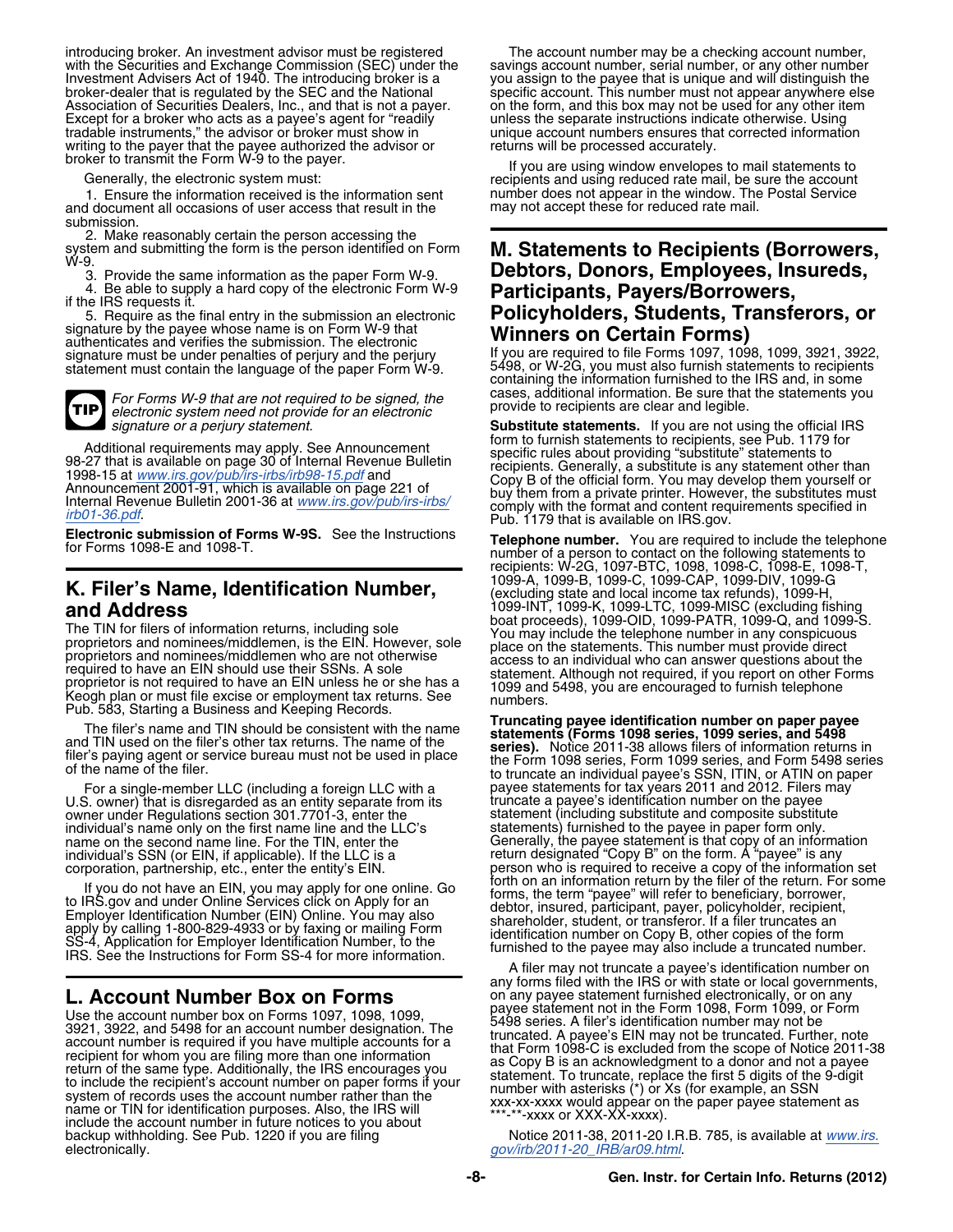introducing broker. An investment advisor must be registered<br>with the Securities and Exchange Commission (SEC) under the savings account number, serial number, or any other number<br>Investment Advisers Act of 1940. The intro Investment Advisers Act of 1940. The introducing broker is a<br>broker-dealer that is regulated by the SEC and the National<br>Association of Securities Dealers, Inc., and that is not a payer. This number must not appear anywher Association of Securities Dealers, Inc., and that is not a payer. on the form, and this box may not be used for any other ite<br>Except for a broker who acts as a payee's agent for "readily entitles the separate instructions Except for a broker who acts as a payee's agent for "readily tradable instruments," the advisor or broker must show in unique account numbers ensures that corrected information writing to the payer that the payee authorized the advisor or **returns will be processed accurately**.

1. Ensure the information received is the information sent number does not appear in the window. The Postal Se<br>I document all occasions of user access that result in the may not accept these for reduced rate mail. and document all occasions of user access that result in the submission.

2. Make reasonably certain the person accessing the system and submitting the form is the person identified on Form **M. Statements to Recipients (Borrowers,** W-9.

4. Be able to supply a hard copy of the electronic Form W-9 if the IRS requests it.<br>5. Require as the final entry in the submission an electronic

5. Require as the final entry in the submission an electronic **Policyholders, Students, Transferors, or**<br>signature by the payee whose name is on Form W-9 that<br>authenticates and verifies the submission. The electronic **Winn** signature must be under penalties of perjury and the perjury and the vou are required to file Forms 1097, 1098, 1099, 3921, 3922, if you are required to file Forms 1097, 1098, 1099, 3921, 3922, it at enviroped to recipient statement must contain the language of the paper Form W-9.

For Forms W-9 that are not required to be signed, the cases, additional information. Be sure that the statements you<br>electronic system need not provide for an electronic<br>signature or a perjury statement. Substitute stateme **TIP**

# 1099-A, 1099-B, 1099-C, 1099-CAP, 1099-DIV, 1099-G **K. Filer's Name, Identification Number,** (excluding state and local income tax refunds), 1099-H,

The TIN for filers of information returns, including sole<br>
The TIN for filers of information returns, including sole<br>
proprietors and nominees/middlemen, is the EIN. However, sole<br>
proprietors and nominees/middlemen who ar

U.S. owner) that is disregarded as an entity separate from its owner under Regulations section 301.7701-3, enter the individual's name only on the first name line and the LLC's name on the second name line. For the TIN, enter the name on the second name line. For the TIN, enter the Generally, the payee statement is that copy of an information individual's SSN (or EIN, if applicable). If the LLC is a return designated "Copy B" on the form. A "payee" is any

Use the account number box on Forms 1097, 1098, 1099,<br>3921, 3922, and 5498 for an account number designation. The<br>account number designation. The<br>account number is required if you have multiple accounts of the structure of backup withholding. See Pub. 1220 if you are filing Notice 2011-38, 2011-20 I.R.B. 785, is available at *[www.irs.](http://www.irs.gov/irb/2011-20_IRB/ar09.html)* electronically. *[gov/irb/2011-20\\_IRB/ar09.html](http://www.irs.gov/irb/2011-20_IRB/ar09.html)*.

broker to transmit the Form W-9 to the payer.<br>
Generally, the electronic system must:<br>
1. Ensure the information received is the information sent<br>
1. Ensure the information received is the information sent<br>
1. Ensure the i

# <sup>3.</sup> Provide the same information as the paper Form W-9. **Debtors, Donors, Employees, Insureds,**<br>4. Be able to supply a hard copy of the electronic Form W-9 **Participants, Payers/Borrowers,**

containing the information furnished to the IRS and, in some

**Substitute statements.** If you are not using the official IRS form to furnish statements to recipients, see Pub. 1179 for Additional requirements may apply. See Announcement<br>
98-27 that is available on page 30 of Internal Revenue Bulletin<br>
98-15 at [www.irs.gov/pub/irs-irbs/irb98-15.pdf](http://www.irs.gov/pub/irs-irbs/irb98-15.pdf) and<br>
Announcement 2001-91, which is available on page 22

**Electronic submission of Forms W-9S.** See the Instructions **Telephone number.** You are required to include the telephone for Forms 1098-E and 1098-T. Number of a person to contact on the following statements to recipients: W-2G, 1097-BTC, 1098, 1098-C, 1098-E, 1098-T, **K. FIIET'S Name, Identification Number,**<br>**and Address** 1099-INT, 1099-INT, 1099-LTC, 1099-MISC (excluding fishing<br>boat proceeds), 1099-OID, 1099-PATR, 1099-Q, and 1099-S.

For a single-member LLC (including a foreign LLC with a the Form 1098 series, Form 1099 series, and Form 5498 series to truncate an individual payee's SSN, ITIN, or ATIN on paper<br>For a single-member LLC (including a foreig statement (including substitute and composite substitute statements) furnished to the payee in paper form only. corporation, partnership, etc., enter the entity's EIN. person who is required to receive a copy of the information set corporation, partnership, etc., enter the entity's EIN. The person who is required to receive a copy of the information set<br>
If you do not have an EIN, you may apply for one online. Go<br>
to IRS.gov and under Online Services

A filer may not truncate a payee's identification number on any forms filed with the IRS or with state or local governments, **L. Account Number Box on Forms** on any payee statement furnished electronically, or on any payee statement furnished electronically, or on any payee statement not in the Form 1098, Form 1099, or Form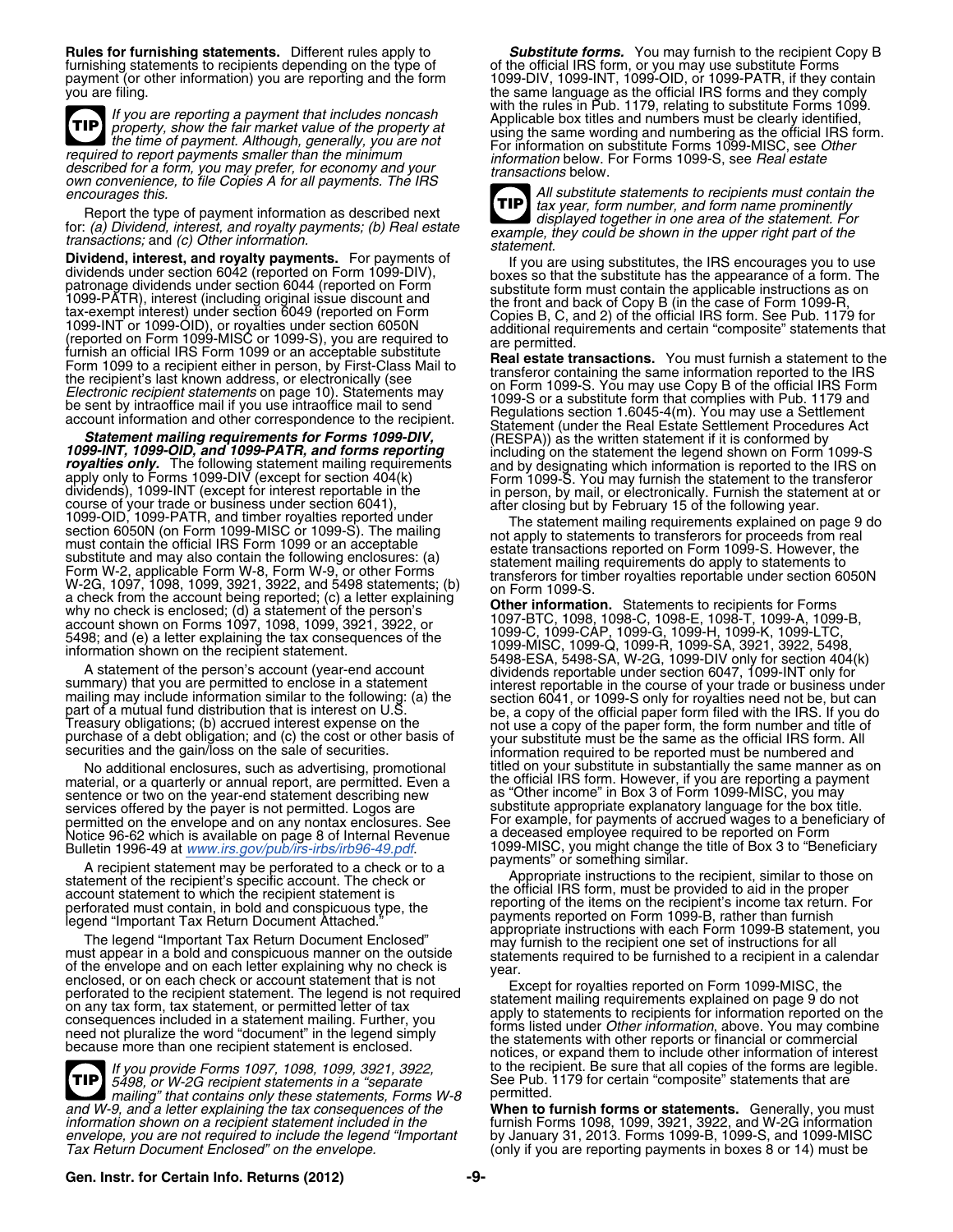furnishing statements to recipients depending on the type of of the official IRS form, or you may use substitute Forms

**TIP** required to report payment. All lough, generally, you are not for information on substitute Forms 1099-MISC, see Other<br>described for a form, you may prefer, for economy and your information below. For Forms 1099-S, see Rea

Report the type of payment information as described next<br>
itax year, form number, and form interest, and royalty payments; (b) Real estate<br>
example, they could be shown in the upper right part of the

for: *(a) Dividend, interest, and royalty payments; (b) Real estate*<br> *transactions;* and *(c) Other information.*<br> **Dividend, interest, and royalty payments.** For payments of the vould<br>
dividends under section 6042 (repor

Dividend, interest and royal payments. For payments of 1901 and using substitutes, the RIS encourage you to use<br>of the second interest in the second of the second and the second and the second interest in the second intere

material, or a quarterly or annual report, are permitted. Even a the official IRS form. However, if you are reporting a payment sentence or two on the year-end statement describing new as "Other income" in Box 3 of Form 1099-MISC, you may services offered by the payer is not permitted. Logos are substitute appropriate explanatory language for the box title. Notice 96-62 which is available on page 8 of Internal Revenue<br>Bulletin 1996-49 at *www.irs.gov/pub/irs-irbs/irb96-49.pdf*.

A recipient statement may be perforated to a check or<br>statement of the recipient's specific account. The check or<br>the official IRS form, must be provided to aid in the proper<br>perforated must content is the protocount state

*5498, or W-2G recipient statements in a "separate* See Pub.<br>1179 mailing" that contains only these statements. Forms W-8 permitted. *mailing" that contains only these statements, Forms W-8* and W-9, and a letter explaining the tax consequences of the **TIP** *and W-9, and a letter explaining the tax consequences of the* **When to furnish forms or statements.** Generally, you must *information shown on a recipient statement included in the* furnish Forms 1098, 1099, 3921, 3922, and W-2G information *envelope, you are not required to include the legend "Important* by January 31, 2013. Forms 1099-B, 1099-S, and 1099-MISC

**Rules for furnishing statements.** Different rules apply to *Substitute forms.* You may furnish to the recipient Copy B furnishing statements to recipients depending on the type of of the official IRS form, or you may us payment (or other information) you are reporting and the form 1099-DIV, 1099-INT, 1099-OID, or 1099-PATR, if they contain you are filing.<br>The same language as the official IRS forms and they comply<br>with the rules in Pub. 1179, relating to substitute Forms 1099. If you are reporting a payment that includes noncash with the rules in Pub. 1179, relating to substitute Forms<br>Property, show the fair market value of the property at and pusing the same wording and numbers must be clearly



*encourages this.*<br> *encourages this. All substitute statements to recipients must contain the*<br> **All substitute statements to recipients must contain the**<br> **TIP** tax year, form number, and form name prominently

curities and the gain/loss on the sale of securities.<br>No additional enclosures, such as advertising, promotional titled on your substitute in substantially the same manner as on services offered by the payer is not permitted. Logos are substitute appropriate explanatory language tor the box title.<br>
permitted on the envelope and on any nontax enclosures. See For example, for payments of accrued wag 1099-MISC, you might change the title of Box 3 to "Beneficiary payments" or something similar.

If you provide Forms 1097, 1098, 1099, 3921, 3922, **If you provide to the recipient.** Be sure that all copies of the forms are legible.<br>5498, or W-2G recipient statements in a "separate" See Pub. 1179 for certain "composit

*Tax Return Boxes Borting in Doxes* 8 or 14) must be *only if you are reporting payments in boxes 8 or 14)* must be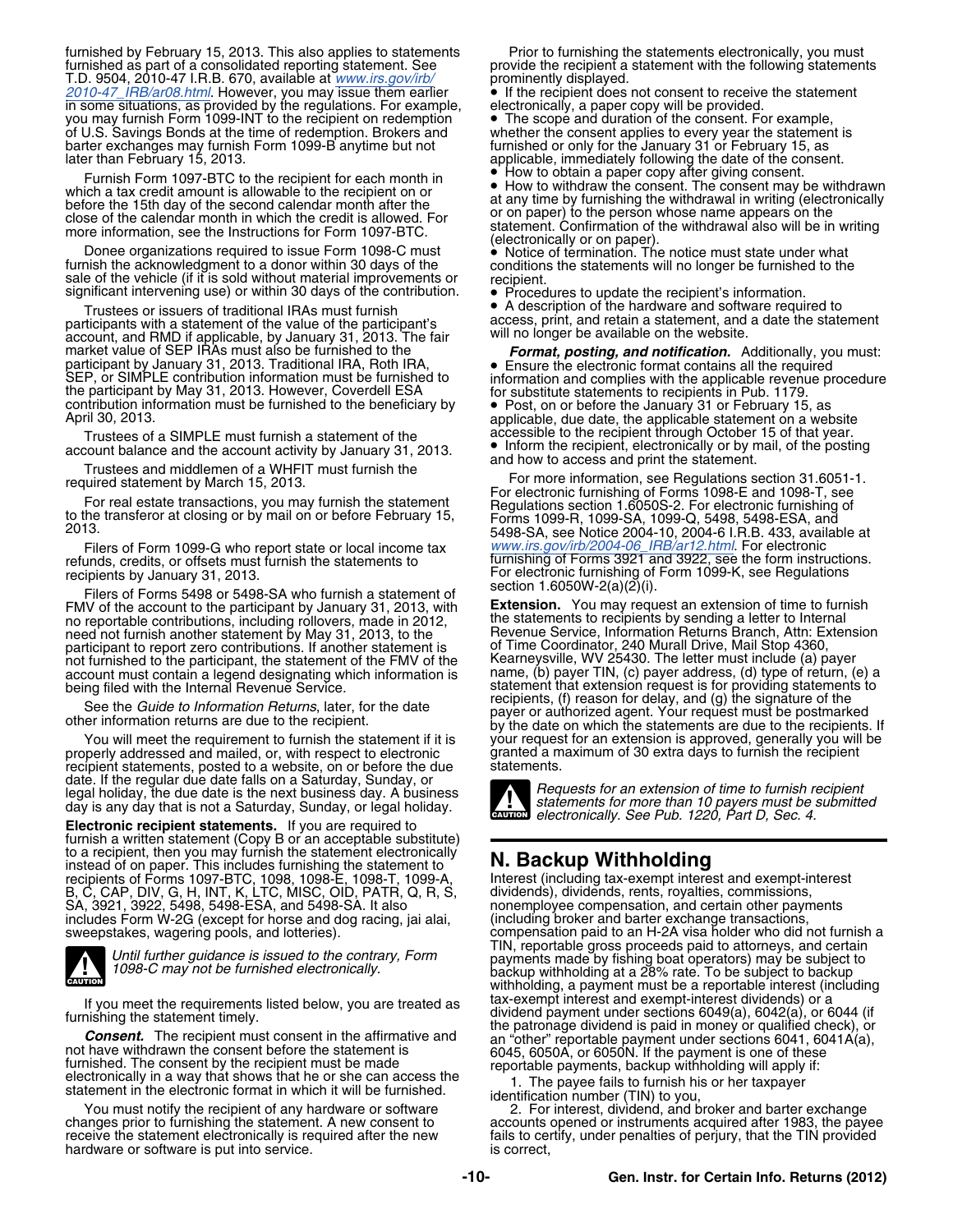furnished by February 15, 2013. This also applies to statements Prior to furnishing the statements electronically, you must<br>furnished as part of a consolidated reporting statement. See provide the recipient a statement wit T.D. 9504, 2010-47 I.R.B. 670, available at *[www.irs.gov/irb/](http://www.irs.gov/irb/2010-47_IRB/ar08.html)* prominently displayed. *[2010-47\\_IRB/ar08.html](http://www.irs.gov/irb/2010-47_IRB/ar08.html)*. However, you may issue them earlier • If the recipient does not consent to receive the statement in some situations, as provided by the regulations. For example, electronically, a paper copy will be provided. you may furnish Form 1099-INT to the recipient on redemption • The scope and duration of the consent. For example, of U.S. Savings Bonds at the time of redemption. Brokers and whether the consent applies to every year the of U.S. Savings Bonds at the time of redemption. Brokers and whether the consent applies to every year the statemer<br>barter exchanges may furnish Form 1099-B anytime but not furnished or only for the January 31 or February barter exchanges may furnish Form 1099-B anytime but not later than February 15, 2013.

• How to obtain a paper copy after giving consent. Furnish Form 1097-BTC to the recipient for each month in •

Donee organizations required to issue Form 1098-C must<br>furnish the acknowledgment to a donor within 30 days of the<br>sale of the vehicle (if it is sold without material improvements or<br>significant intervening use) or within

Trustees or issuers of traditional IRAs must furnish<br>participants with a statement of the value of the participant's access, print, and retain a statement, and a date the statement<br>account, and RMD if applicable, by Januar market value of SEP IRAs must also be furnished to the<br>participant by January 31, 2013. Traditional IRA, Roth IRA,<br>SEP, or SIMPLE contribution information and comples with the applicable revenue procedure<br>the participant b

Filers of Form 1099-G who report state or local income tax *[www.irs.gov/irb/2004-06\\_IRB/ar12.html](http://www.irs.gov/irb/2004-06_IRB/ar12.html)*. For electronic

Filers of Forms 5498 or 5498-SA who furnish a statement of<br>V of the account to the participant by January 31, 2013, with **Extension.** You may request an extension of time to furnish FMV of the account to the participant by January 31, 2013, with **Extension.** You may request an extension of time to furnish no reportable contributions, including rollovers, made in 2012, the statements to recipients by sending a letter to Internal need not furnish another statement by May 31, 2013, to the Revenue Service, Information Returns Branch, Attn: Extension participant to report zero contributions. If another statement is of Time Coordinator, 240 Murall Drive, Mail Stop 4360, participant to report zero contributions. If another statement is<br>not furnished to the participant, the statement of the FMV of the Kearneysville, WV 25430. The letter must include (a) payer<br>account must contain a legend d account must contain a legend designating which information is

properly addressed and mailed, or, with respect to electronic granted a m<br>recipient statements, posted to a website, on or before the due statements. recipient statements, posted to a website, on or before the due date. If the regular due date falls on a Saturday, Sunday, or<br>legal holiday, the due date is the next business day. A business<br>day is any day that is not a Saturday, Sunday, or legal holiday.<br>determinedly. Can be than 10 p

**Electronic recipient statements.** If you are required to furnish a written statement (Copy B or an acceptable substitute) to a recipient, then you may furnish the statement electronically instead of on paper. This includes furnishing the statement to **N. Backup Withholding** recipients of Forms 1097-BTC, 1098, 1098-E, 1098-T, 1099-A, Interest (including tax-exempt interest and exempt-interest B, C, CAP, DIV, G, H, INT, K, LTC, MISC, OID, PATR, Q, R, S, dividends), dividends, rents, royalties, commissions, SA, 3921, 3922, 5498, 5498-ESA, and 5498-SA. It also nonemployee compensation, and certain other payments includes Form W-2G (except for horse and dog racing, jai alai, (including broker and barter exchange transactions,



You must notify the recipient of any hardware or software 2. For interest, dividend, and broker and barter exchange<br>changes prior to furnishing the statement. A new consent to accounts opened or instruments acquired after hardware or software is put into service.

applicable, immediately following the date of the consent.

Frame in the second calendar month and the recipient of order to the recipient of the recipient of the recipient of the recipient of the second calendar month after the close of the calendar month in which the credit is al

• A description of the hardware and software required to

Trustees of a SIMPLE must furnish a statement of the accessible to the recipient through October 15 of that year. • Inform the recipient, electronically or by mail, of the posting

account balance and the account activity by January 31, 2013.<br>
Trustees and middlemen of a WHFIT must furnish the<br>
required statement by March 15, 2013.<br>
For real estate transactions, you may furnish the statement<br>
to the Filers of Form 1099-G who report state or local income tax www.irs.gov/irb/2004-06\_IRB/ar12.html. For electronic<br>refunds, credits, or offsets must furnish the statements to furnishing of Forms 3921 and 3922, see the form i recipients by January 31, 2013.<br>For electronic furnishing of Form 1099-K, see Regulations<br>Filem of Forms 5408 or 5408 SA who furnish a statement of section 1.6050W-2(a)(2)(i).

being filed with the Internal Revenue Service. Statement statement that extension request is for providing statements to See the Guide to Information Returns, later, for the date<br>See the Guide to Information Returns, later, for the date<br>other information returns are due to the recipient.<br>by the date on which the statements are due to the rec You will meet the requirement to furnish the statement if it is your request for an extension is approved, generally you will be<br>perly addressed and mailed, or, with respect to electronic granted a maximum of 30 extra days



*electronically. See Pub. 1220, Part D, Sec. 4.*

includes Form W-2G (except for horse and dog racing, jai alai, (including broker and barter exchange transactions,<br>sweepstakes, wagering pools, and lotteries). compensation paid to an H-2A visa holder who did not furnish a Until further guidance is issued to the contrary, Form<br>Until further guidance is issued to the contrary, Form<br>1098-C may not be furnished electronically.<br>backup withholding at a 28% rate. To be subject to backup withholding, a payment must be a reportable interest (including<br>tax-exempt interest and exempt-interest dividends) or a If you meet the requirements listed below, you are treated as<br>
furnishing the statement timely.<br> **Consent.** The recipient must consent in the affirmative and<br>
the patronage dividend payment under sections 6049(a), 6042(a)

changes prior to furnishing the statement. A new consent to accounts opened or instruments acquired after 1983, the payee<br>receive the statement electronically is required after the new fails to certify, under penalties of fails to certify, under penalties of perjury, that the TIN provided is correct.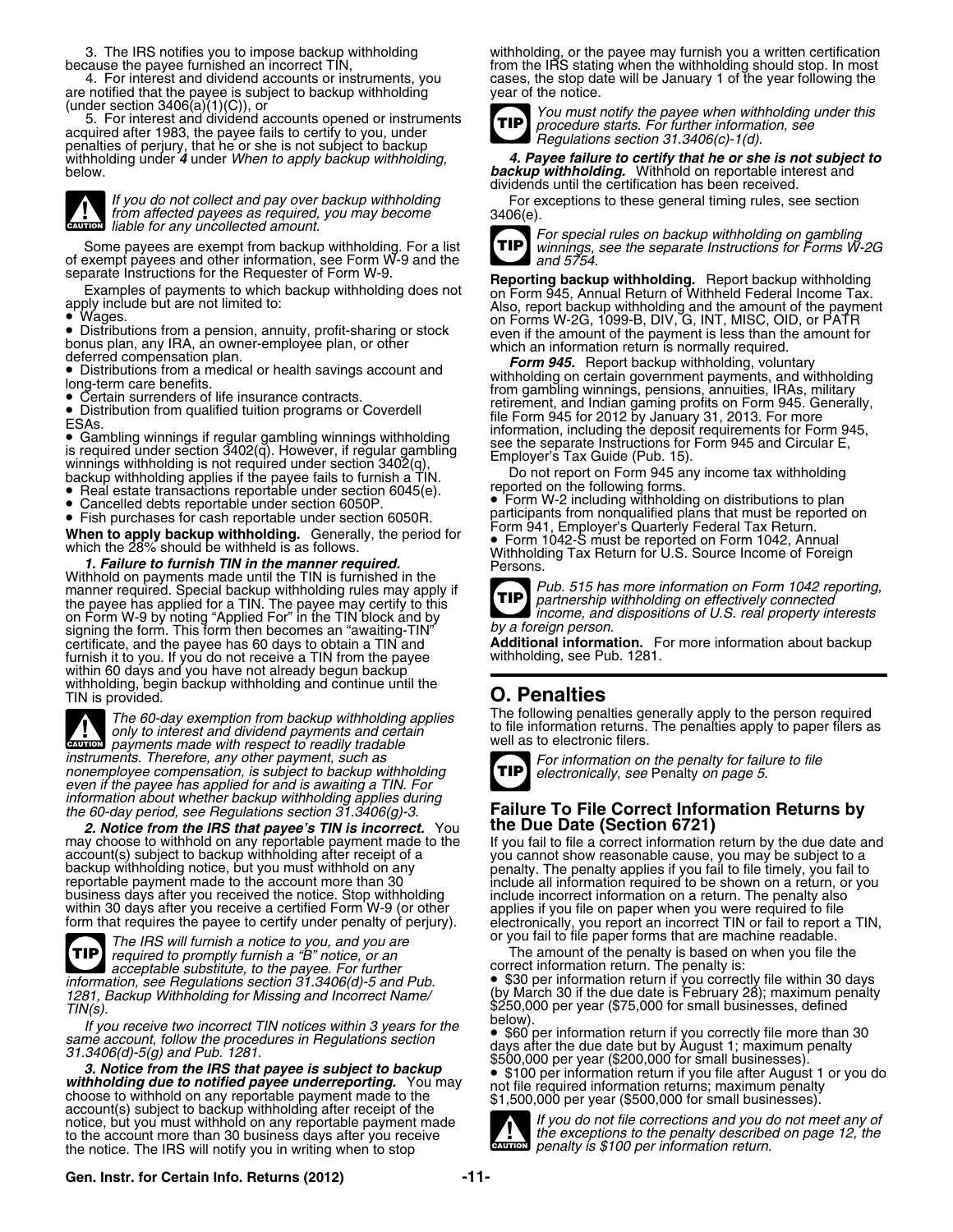are notified that the payee is subject to backup withholding (under section  $3406(a)(1)(C)$ ), or

(under section 3400(a)(1)(C)), or<br>5. For interest and dividend accounts opened or instruments<br>acquired after 1983, the paye fails to certify to you, under<br>monalties of particle in the accounts in part is not cubicat to ba penalties of perjury, that he or she is not subject to backup



If you do not collect and pay over backup withholding<br>from affected payees as required, you may become<br>gavitable for any uncollected amount.

Some payees are exempt from backup withholding. For a list<br>of exempt payees and other information, see Form W-9 and the<br>separate Instructions for Forms W-2G<br>separate Instructions for the Requester of Form W-9.<br>Reporting ba

• Distributions from a pension, annuity, profit-sharing or stock ● Distributions from a pension, annuity, profit-sharing or stock even if the amount of the payment is less than the amount for<br>bonus plan, any IRA, an owner-employee plan, or other which an information return is normally

- ESAS.<br>
 Gambling winnings if regular gambling winnings withholding<br>
is required under section 3402(q). However, if regular gambling<br>
is reduced lines is see the separate Instructions for Form 945 and Circular E,<br>
is requ
- Real estate transactions reportable under section 6045(e).<br>Cancelled debts reportable under section 6050P.
- 
- 

Withhold on payments made until the TIN is furnished in the manner required. Special backup withholding rules may apply if *Pub. 515 has more information on Form 1042 reporting,*<br>the pavee has applied for a TIN. The pavee may certify to this the payee has applied for a TIN. The payee may certify to this *partnership withholding on effectively connected* on Form W-9 by noting "Applied For" in the TIN block and by *by a foreign person.* signing the form. This form then becomes an "awaiting-TIN" certificate, and the payee has 60 days to obtain a TIN and **Additional information.** For more information about backup furnish it to you. If you do not receive a TIN from the payee withholding, see Pub. 1281. within 60 days and you have not already begun backup withholding, begin backup withholding and continue until the TIN is provided. **O. Penalties**



instruments. Therefore, any other payment, such as<br>nonemployee compensation, is subject to backup withholding<br>even if the payee has applied for and is awaiting a TIN. For<br>and Ford TIP electronically, see Penalty on page 5. *information about whether backup withholding applies during*

*2. Notice from the IRS that payee's TIN is incorrect.* You **the Due Date (Section 6721)**

or you fail to file paper forms that are machine readable. *The IRS will furnish a notice to you, and you are* **acceptable substitute, to the payee. For further information, see Regulations section 31.3406(d)-5 and Pub. TIP**

If you receive two incorrect TIN notices within 3 years for the <sup>below</sup>).<br>The account follow the procedures in Bequistions section

3. Notice from the IHS that payee is subject to backup<br>withholding due to notified payee underreporting. You may<br>choose to withhold on any reportable payment made to the<br>account(s) subject to backup withholding after recei notice, but you must withhold on any reportable payment made *If you do not file corrections and you do not meet any of* to the account more than 30 business days after you receive **the exceptions of the exceptions** to the penalty described on page 12, the the notice. The IRS will notify you in writing when to stop the notice. The IRS will notify you in writing when to stop

3. The IRS notifies you to impose backup withholding withholding, or the payee may furnish you a written certification because the payee furnished an incorrect TIN, from the IRS stating when the withholding should stop. In most 4. For interest and dividend accounts or instruments, you cases, the stop date will be January 1 of the year following the notified that the payee is subject to backup withholding year of the notice.



withholding under *4* under *When to apply backup withholding*, *4. Payee failure to certify that he or she is not subject to* below. *backup withholding.* Withhold on reportable interest and dividends until the certification has been received.



separate Instructions for the Hequester of Form W-9.<br>Examples of payments to which backup withholding does not<br>apply include but are not limited to:<br>Niso, report backup withholding and the amount of the payment<br>Miso, repor Wages. on Forms W-2G, 1099-B, DIV, G, INT, MISC, OID, or PATR

deterred compensation pian.<br>
■ Distributions from a medical or health savings account and <br>
long-term care benefits. and withholding in certain government payments, and withholding<br>
■ Certain surrenders of life insurance Certain surrenders of life insurance contracts.<br>• Distribution from qualified tuition programs or Coverdell expressions, and Indian gaming profits on Form 945. Generally, • Distribution from qualified tuition programs or Coverdell file Form 945 for 2012 by January 31, 2013. For more<br>ESAs. information, including the deposit requirements for Form 945,<br>● Gambling winnings if requirements for

• Form W-2 including withholding on distributions to plan Cancelled debts reportable under section 6050R. participants from nonqualified plans that must be reported on •<br>• Fish purchases for cash reportable under section 6050R. Form 941, Employer's Quarterly Federal Tax Return. **•** Form 1042-S must be reported on Form 1042, Annual Form 941, Employer's Quarterly Federal 1 ax Return.<br>which the 28% should be withheld is as follows.<br>**Withholding Tax Return for U.S. Source Income of Foreign**<br>**1. Failure to furnish TIN in the manner required.**<br>Persons.<br>Pe

> *income, and dispositions of U.S. real property interests* **TIP**

The 60-day exemption from backup withholding applies<br>only to interest and dividend payments and certain<br>avitable sto electronic filers. The penalties apply to paper filers as<br>well as to electronic filers.



# *the 60-day period, see Regulations section 31.3406(g)-3.* **Failure To File Correct Information Returns by**

may choose to withhold on any reportable payment made to the a correct information return by the due date and<br>account(s) subject to backup withholding after receipt of a<br>backup withhold on any the subject to backup withhol

The amount of the penalty is based on when you file the correct information return. The penalty is:

*information, see Regulations section 31.3406(d)-5 and Pub.* • \$30 per information return if you correctly file within 30 days *1281, Backup Withholding for Missing and Incorrect Name/* (by March 30 if the due date is February 28); maximum penalty 1281, Backup Withholding for Missing and Incorrect Name/ [by March 30 if the due date is February 28); maximum pe<br>\$250,000 per year (\$75,000 for small businesses, defined<br>below).

same account, follow the procedures in Regulations section<br>31.3406(d)-5(g) and Pub. 1281.<br>3. Notice from the IRS that payee is subject to backup<br>3. Notice from the IRS that payee is subject to backup<br>withholding due to no

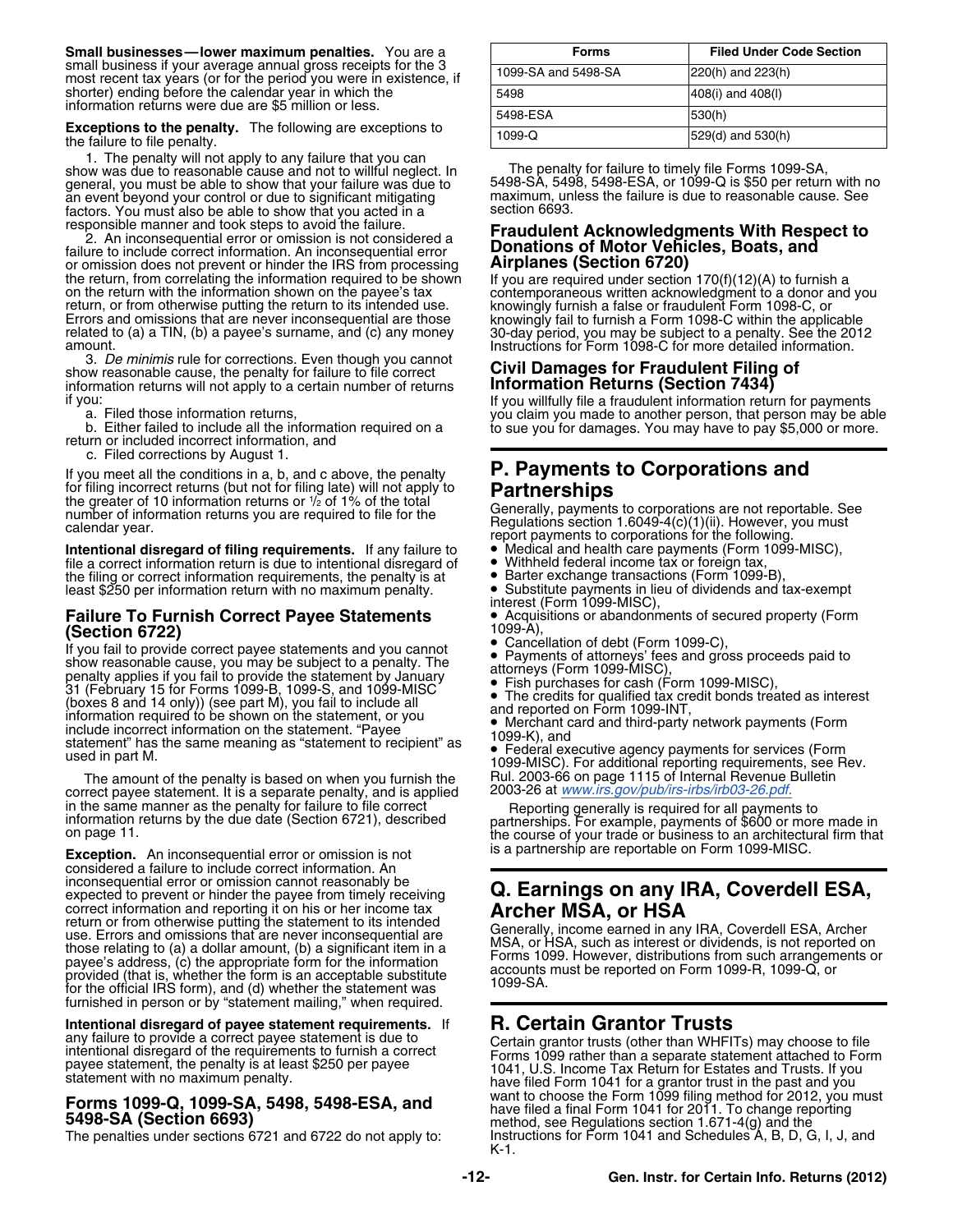1. The penalty will not apply to any failure that you can show was due to reasonable cause and not to willful neglect. In general, you must be able to show that your failure was due to an event beyond your control or due to significant mitigating maximum, unless the factors the failure is due to reasonable factors the factors the factors of the factors the failure is due to reasonable factors the factors factors. You must also be able to show that you acted in a responsible manner and took steps to avoid the failure.

or omission does not prevent or hinder the IRS from processing the return, from correlating the information required to be shown the return, from correlating the information required to be shown<br>on the return, from correlating the information shown on the payee's tax<br>ontemporaneous written acknowledgment to a donor and you<br>return, or from otherwise

3. *De minimis* rule for corrections. Even though you cannot<br>
show reasonable cause, the penalty for failure to file correct<br>
information Returns (Section 7434) information returns will not apply to a certain number of returns

b. Either failed to include all the information required on a<br>return or included incorrect information, and<br>to sue you for damages. You may have to pay \$5,000 or more.

c. Filed corrections by August 1.

for filing incorrect returns (but not for filing late) will not apply to<br>the greater of 10 information returns or  $\frac{1}{2}$  of 1% of the total<br>number of information returns you are required to file for the<br>number of inform

**Intentional disregard of filing requirements.** If any failure to **•** Medical and health care payments (Form 1<br>file a correct information return is due to intentional disregard of • Withheld federal income tax or foreign t file a correct information return is due to intentional disregard of  $\bullet$  Withheld federal income tax or foreign tax, the filing or correct information requirements, the penalty is at  $\bullet$  Barter exchange transactions (For the filing or correct information requirements, the penalty is at • Barter exchange transactions (Form 1099-B), least \$250 per information return with no maximum penalty. • Substitute payments in lieu of dividends and tax-exempt

# **Failure To Furnish Correct Payee Statements • Acquis**<br>(Section 6722)

**(Section 6722)**<br>If you fail to provide correct payee statements and you cannot  $\bullet$  Cancellation of debt (Form 1099-C),<br>show reasonable cause, you may be subject to a penalty. The **a** Payments of attorneys' fees and gross If you fail to provide correct payee statements and you cannot show reasonable cause, you may be subject to a penalty. The Payments of attorneys' fees and gross proceeds paid to show reasonable cause, you may be subject to a penalty. The attorneys (Form 1099-MISC), penalty applies if you fail to provide the statement by January • Fish purchase Fish purchases for cash (Form 1099-MISC), 31 (February 15 for Forms 1099-B, 1099-S, and 1099-MISC),  $\bullet$  The credits for qualified tax credit bonds treating the state of the credits for qualified tax credit bonds treating The credits for qualified tax credit bonds treated as interest (boxes 8 and 14 only)) (see part M), you fail to include all and reported on Form 1099-INT, information required to be shown on the statement, or you • Merchan Merchant card and third-party network payments (Form include incorrect information on the statement. "Payee 1099-K), and<br>statement "has the same meaning as "statement to recipient" as • Federal executive agency payments fo

The amount of the penalty is based on when you furnish the Rul. 2003-66 on page 1115 of Internal Revenue<br>rect payee statement, It is a separate penalty, and is applied 2003-26 at www.irs.gov/pub/irs-irbs/irb03-26.pdf correct payee statement. It is a separate penalty, and is applied 2003-26 at *[www.irs.gov/pub/irs-irbs/irb03-26.pdf.](http://www.irs.gov/pub/irs-irbs/irb03-26.pdf)*<br>in the same manner as the penalty for failure to file correct Reporting generally is required for all pa

**Exception.** An inconsequential error or omission is not **the actual entity is a partnership are reportable on Form 1099-MISC.**<br>considered a failure to include correct information. An inconsequential error or omission cannot reasonably be expected to prevent or hinder the payee from timely receiving Inconsequential error or ornission cannot reasonably be<br>expected to prevent or hinder the payee from timely receiving **Q. Earnings on any IRA, Coverdell ESA,**<br>correct information and reporting it on his or her income tax correct information and reporting it on his or her income tax<br>return or from otherwise putting the statement to its intended<br>use. Erors and omissions that are use. Erors and omissions that are<br>those relating to (a) a dolla furnished in person or by "statement mailing," when required.

**Intentional disregard of payee statement requirements.** If **R. Certain Grantor Trusts** any failure to provide a correct payee statement is due to **Certain grantor trusts** (other than WHFI)

| Small businesses—lower maximum penalties. You are a                                                                                  | <b>Forms</b>        | <b>Filed Under Code Section</b> |
|--------------------------------------------------------------------------------------------------------------------------------------|---------------------|---------------------------------|
| small business if your average annual gross receipts for the 3<br>most recent tax years (or for the period you were in existence, if | 1099-SA and 5498-SA | $220(h)$ and $223(h)$           |
| shorter) ending before the calendar year in which the<br>information returns were due are \$5 million or less.                       | 5498                | $408(i)$ and $408(i)$           |
| <b>Exceptions to the penalty.</b> The following are exceptions to<br>the failure to file penalty.                                    | 5498-ESA            | 530(h)                          |
|                                                                                                                                      | $1099 - Q$          | $ 529(d)$ and $530(h)$          |

The penalty for failure to timely file Forms 1099-SA,<br>5498-SA, 5498, 5498-ESA, or 1099-Q is \$50 per return with no<br>maximum, unless the failure is due to reasonable cause. See

### responsible manner and took steps to avoid the failure.<br>2. An inconsequential error or omission is not considered a<br>**Fraudulent Acknowledgments With Respect to**<br>**1. An inconsequential error Constitutions of Motor Vehicle** Donations of Motor Vehicles, Boats, and<br>Airplanes (Section 6720)

Instructions for Form 1098-C for more detailed information.

if you: If you willfully file a fraudulent information return for payments

# If you meet all the conditions in a, b, and c above, the penalty **P. Payments to Corporations and**

number or information returns you are required to the formulations section 1.6049-4(c)(1)(ii). However, you must<br>calendar year.<br>Intentional disregard of filing requirements. If any failure to <br>Intentional disregard of fili

- 
- 
- 

**• Substitute payments in lieu of dividends and tax-exempt interest (Form 1099-MISC),<br>• Acquisitions or abandonments of secured property (Form** 

- 
- 
- 

1099-MISC). For additional reporting requirements, see Rev.<br>Rul. 2003-66 on page 1115 of Internal Revenue Bulletin

information returns by the due date (Section 6721), described<br>on page 11.<br>**Example, payments of \$600 or more made in**<br>the course of your trade or business to an architectural firm that<br>is a partnership are reportable on Fo

any failure to provide a correct payee statement is due to<br>
intentional disregard of the requirements to furnish a correct<br>
payee statement, the penalty is at least \$250 per payee<br>
statement with no maximum penalty.<br>
Enter **Forms 1099-Q, 1099-SA, 5498, 5498-ESA, and**<br>5498-SA (Section 6693)<br>The penalties under sections 6721 and 6722 do not apply to:<br>The penalties under sections 6721 and 6722 do not apply to:<br>Instructions for Form 1041 and Sch Instructions for Form 1041 and Schedules A, B, D, G, I, J, and K-1.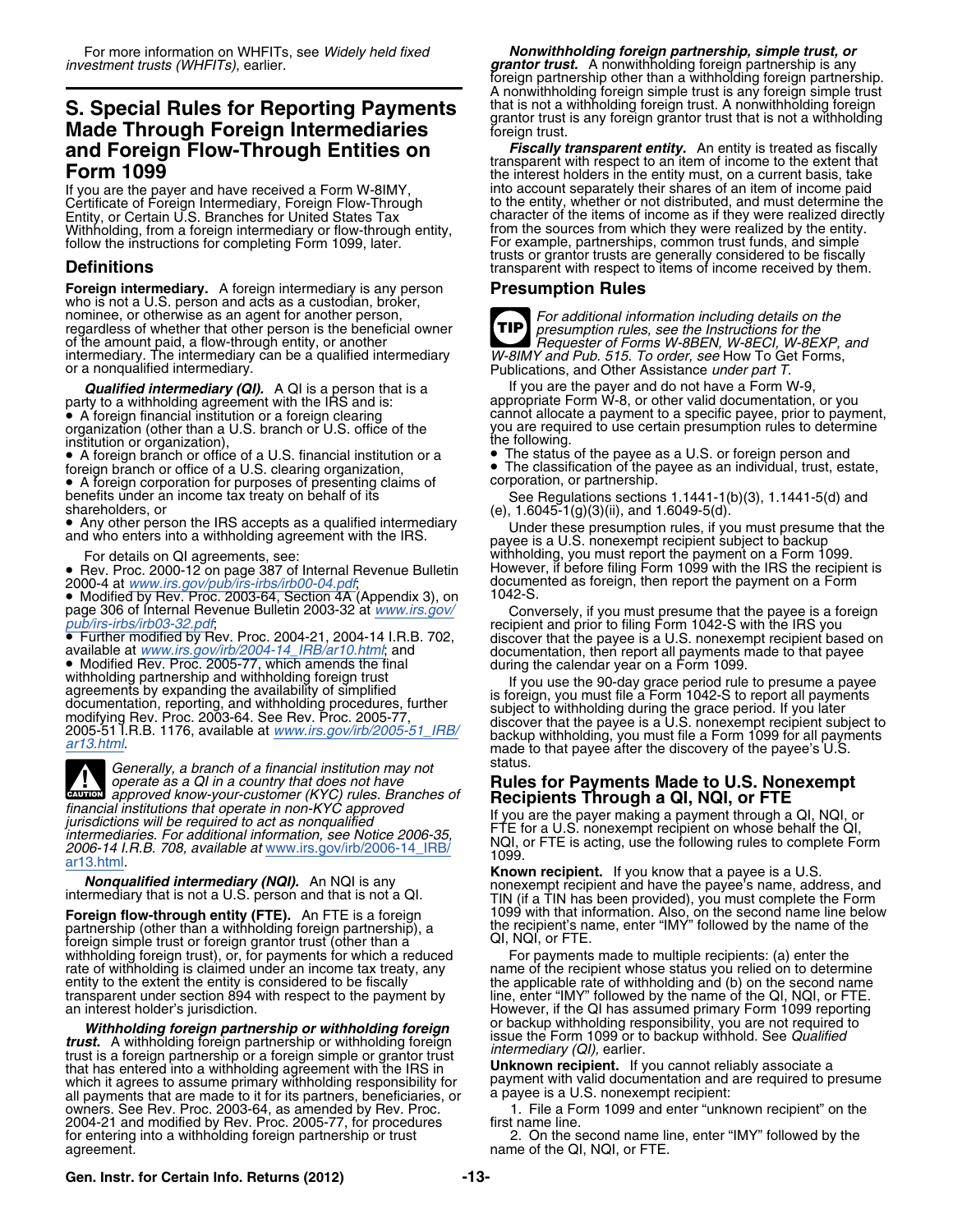### **S. Special Rules for Reporting Payments** that is not a withholding foreign trust. A nonwithholding foreign **S.** Special Rules for Reporting Payments structure for that is any foreign grantor trust that is not a withholdin **Made Through Foreign Intermediaries** foreign trust. **and Foreign Flow-Through Entities on** *Fiscally transparent entity.* An entity is treated as fiscally transparent with respect to an item of income to the extent that **Form 1099** the interest holders in the entity must, on a current basis, take

Withholding, from a foreign intermediary or flow-through entity, from the sources from which they were realized by the entity.<br>
follow the instructions for completing Form 1099, later. For example, partnerships, common tru follow the instructions for completing Form 1099, later.

**Foreign intermediary.** A foreign intermediary is any person<br>who is not a U.S. person and acts as a custodian, broker,<br>nominee, or otherwise as an agent for another person,<br>**Example 2** For additional information including regardless of whether that other person is the beneficial owner<br>of the amount paid, a flow-through entity, or another intermediary. The intermediary can be a qualified intermediary or a nonqualified intermediary

**Qualified intermediary (QI).** A QI is a person that is a If you are the payer and do not have a Form W-9, • A foreign financial institution or a foreign clearing

institution or organization),<br>• A foreign branch or office of a U.S. financial institution or a • The status of the payee as a U.S. or foreign person and

• A foreign corporation for purposes of presenting claims of corporation, or partnership.

• Any other person the IRS accepts as a qualified intermediary

• Rev. Proc. 2000-12 on page 387 of Internal Revenue Bulletin However, if before filing Form 1099 with the IRS the recipient is

pub/irs-irbs/irb03-32.pdf;<br>• Further modified by Rev. Proc. 2004-21, 2004-14 I.R.B. 702,

available at www.irs.gov/irb/2004-14\_IRB/ar10.html; and<br>
• Modified Rev. Proc. 2005-77, which amends the final<br>
• Modified Rev. Proc. 2005-77, which amends the final<br>
withholding partnership and withholding foreign trust<br>

Generally, a branch of a financial institution may not status<br>operate as a QI in a country that does not have **Rule CAUTION** *a matter of a miancial institution may not*<br> **EXUTION** approved know-your-customer (KYC) rules. Branches of mancial institutions that operate in non-KYC approved<br>
intermediaries of<br>
intermediaries. For additional information, see Notice 2006-35,<br>
2006-14 I.R.B. 708, available at www.irs.gov/irb/2006-14 IRB/<br> **EXECUTE:** FOR a U.S

**Foreign flow-through entity (FTE).** An FTE is a foreign and the recipient's name partnership (other than a withholding foreign partnership), a the recipient's name foreign simple trust or foreign grantor trust (other than foreign simple trust or foreign grantor trust (other than a Gigan Gui, NQI, or FTE.<br>withholding foreign trust), or, for payments for which a reduced For payments made to multiple recipients: (a) enter the withholding foreign trust), or, for payments for which a reduced For payments made to multiple recipients: (a) enter the rate of withholding is claimed under an income tax treaty, any name of the recipient whose status you rate of withholding is claimed under an income tax treaty, any here of the recipient whose status you relied on to determine<br>entity to the extent the entity is considered to be fiscally the applicable rate of withholding a transparent under section 894 with respect to the payment by line, enter "IMY" followed by the name of the QI, NQI, or FTE.<br>However, if the QI has assumed primary Form 1099 reporting

**Figure 19th Structure 19th Partnership or withholding foreign** issue the Form 1099 or to backup withhold. See Qualified<br>trust. A withholding foreign partnership or withholding foreign intermediary (QI), earlier. that has entered into a withholding agreement with the IRS in **Unknown recipient.** If you cannot reliably associate a which it agrees to assume primary withholding responsibility for payment with valid documentation and are required to presume all payments that are made to it for its partners, beneficiaries, or a payee is a U.S. nonexempt all payments that are made to it for its partners, beneficiaries, or a payee is a U.S. nonexempt recipient:<br>owners. See Rev. Proc. 2003-64, as amended by Rev. Proc. [1] The a Form 1099 and enter "unknown recipient" on the owners. See Rev. Proc. 2003-64, as amended by Rev. Proc. 1. File a Form 1099 and enter "unknown recipient" on the 2004-21 and modified by Rev. Proc. 2005-77, for procedures first name line. for entering into a withholding foreign partnership or trust 2. On the second name line, enter "IMY" followed by the agreement.

foreign partnership other than a withholding foreign partnership. A nonwithholding foreign simple trust is any foreign simple trust

Into account separately their shares of an item of income paid<br>to the entity, whether or not distributed, and must determine the Certificate of Foreign Intermediary, Foreign Flow-Through to the entity, whether or not distributed, and must determine the Entity, or Certain U.S. Branches for United States Tax character of the items of income as if they were realized directly trusts or grantor trusts are generally considered to be fiscally **Definitions** transparent with respect to items of income received by them.



**TIP** presumption rules, see the Instructions for the<br>Requester of Forms W-8BEN, W-8ECI, W-8EXP, and<br>W-8IMY and Pub. 515. To order, see How To Get Forms, Publications, and Other Assistance under part T.

party to a withholding agreement with the IRS and is: appropriate Form W-8, or other valid documentation, or you **Cualified intermediary (QI).** A QI is a person that is a<br>
party to a withholding agreement with the IRS and is:<br>
■ A foreign financial institution or a foreign clearing<br>
or a foreign financial institution or a foreign cl you are required to use certain presumption rules to determine the following.

• A foreign branch or office of a U.S. financial institution or a • The status of the payee as a U.S. or foreign person and • The classification of the payee as an individual, trust, estate, foreign branch or office of a U.S. clearing organization, **Franch or other of the payee** as an individual, trust, estate,

benefits under an income tax treaty on behalf of its See Regulations sections 1.1441-1(b)(3), 1.1441-5(d) and shareholders, or (e), 1.6045-1(g)(3)(ii), and 1.6049-5(d).

• Any other person the IRS accepts as a qualified intermediary<br>and who enters into a withholding agreement with the IRS.<br>payee is a U.S. nonexempt recipient subject to backup For details on QI agreements, see:<br>Rev. Proc. 2000-12 on page 387 of Internal Revenue Bulletin However, if before filing Form 1099 with the IRS the recipient is 2000-4 at *[www.irs.gov/pub/irs-irbs/irb00-04.pdf](http://www.irs.gov/pub/irs-irbs/irb00-04.pdf)*; documented as foreign, then report the payment on a Form • Modified by Rev. Proc. 2003-64, Section 4A (Appendix 3), on 1042-S.

page 306 of Internal Revenue Bulletin 2003-32 at *[www.irs.gov/](http://www.irs.gov/pub/irs-irbs/irb03-32.pdf)* Conversely, if you must presume that the payee is a foreign *[pub/irs-irbs/irb03-32.pdf](http://www.irs.gov/pub/irs-irbs/irb03-32.pdf)*; recipient and prior to filing Form 1042-S with the IRS you<br>■ Further • Further modified by Rev. Proc. 2004-21, 2004-14 I.R.B. 702, discover that the payee is a U.S. nonexempt recipient based on available at *[www.irs.gov/irb/2004-14\\_IRB/ar10.html](http://www.irs.gov/irb/2004-14_IRB/ar10.html)*; and documentation, then report all payment

# **Rules for Payments Made to U.S. Nonexempt Recipients Through a QI, NQI, or FTE**

Foreign flow-through, year-through the second name line below<br>the recipient's name, enter "IMY" followed by the name of the

However, if the QI has assumed primary Form 1099 reporting withholding foreign partnership or withholding foreign<br>Withholding responsibility, you are not required to<br>st. A withholding foreign partnership or withholding foreign issue the Form 1099 or to backup withhold. See *Qualif* 

name of the QI, NQI, or FTE.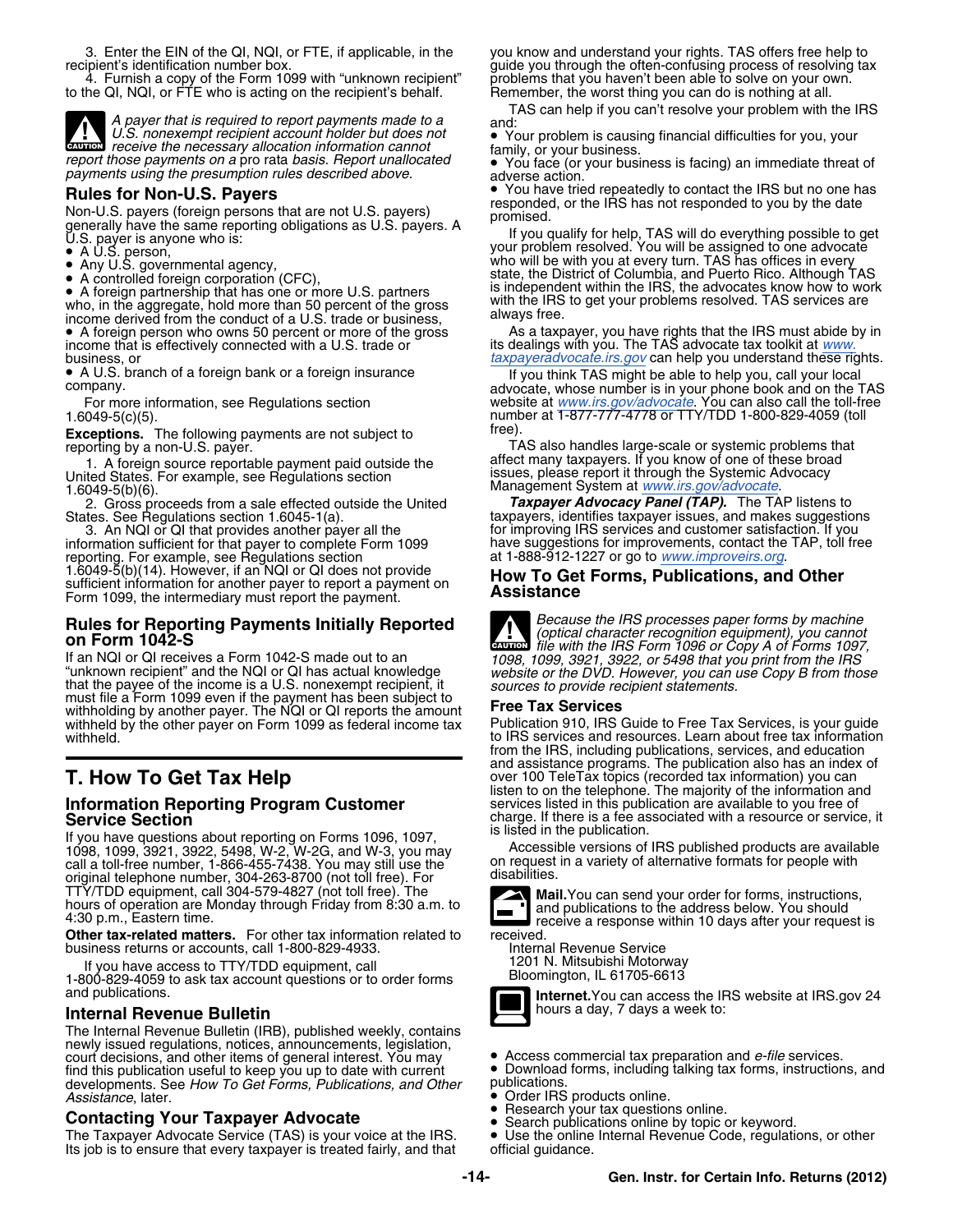3. Enter the EIN of the QI, NQI, or FTE, if applicable, in the you know and understand your rights. TAS offers free help to recipient's identification number box.

4. Furnish a copy of the Form 1099 with "unknown recipient" problems that you haven't been able to solve on your own.<br>he QI, NQI, or FTE who is acting on the recipient's behalf. Problems the worst thing you can do is nothi to the QI, NQI, or FTE who is acting on the recipient's behalf.



*U.S. nonexempt recipient account holder but does not* • Your problem is causing financial difficulties for you, your *receive the necessary allocation information cannot* family, or your business.

Non-U.S. payers (foreign persons that are not U.S. payers)<br>generally have the same reporting obligations as U.S. payers. A<br>U.S. payer is anyone who is:<br>lift your problem

- 
- 
- 

 A foreign partnership that has one or more U.S. partners who, in the aggregate, hold more than 50 percent of the gross with the IRS to get your problems resolved. TAS services are<br>income derived from the conduct of a U.S. trade or business, always free. • A foreign person who owns 50 percent or more of the gross income that is effectively connected with a U.S. trade or  $\check{\phantom{a}}$  its dealings with you. The TAS advocate tax toolkit at [www.](http://www.taxpayeradvocate.irs.gov/) business, or *[taxpayeradvocate.irs.gov](http://www.taxpayeradvocate.irs.gov/)* can help you understand these rights.

• A U.S. branch of a foreign bank or a foreign insurance

1. A foreign source reportable payment paid outside the affect many taxpayers. If you know of one of these broa<br>United States. For example, see Regulations section issues, please report it through the Systemic Advocacy

Management System at *[www.irs.gov/advocate](http://www.irs.gov/advocate)*. 1.6049-5(b)(6). States. See Regulations section 1.6045-1(a). taxpayers, identifies taxpayer issues, and makes suggestions

information sufficient for that payer to complete Form 1099 have suggestions for improvements, contact the reporting. For example, see Regulations section at 1-888-912-1227 or go to www.improveirs.org. reporting. For example, see Regulations section<br>1.6049-5(b)(14). However, if an NQI or QI does not provide 1.6049-5(b)(14). However, if an NQI or QI does not provide<br>
sufficient information for another payer to report a payment on **How To Get Forms, Publications, and Other**<br>
Form 1099, the intermediary must report the payment o Form 1099, the intermediary must report the payment.

# **Rules for Reporting Payments Initially Reported**<br>**Because the IRS processes paper forms by machine**<br>**Because the IRS Form 1006 or Copy A of Forms 1007**

If an NQI or QI receives a Form 1042-S made out to an<br>"unknown recipient" and the NQI or QI has actual knowledge<br>that the payee of the income is a U.S. nonexempt recipient, it<br>that the payee of the income is a U.S. nonexe withholding by another payer. The NQI or QI reports the amount **Free Tax Services**<br>withheld by the other payer on Form 1099 as federal income tax Publication 910, IRS Guide to Free Tax Services, is your guide withheld by the other payer on Form 1099 as federal income tax withheld. The IRS services and resources. Learn about free tax information

# **Information Reporting Program Customer Service Section**

**is listed in the publication.**<br>If you have questions about reporting on Forms 1096, 1097, Accessible varians of 1098, 1099, 3921, 3922, 5498, W-2, W-2G, and W-3, you may Accessible versions of IRS published products are available call a toll-free number, 1-866-455-7438. You may still use the on request in a variety of alternative formats for people with original telephone number, 304-263-8700 (not toll free). For disabilities.<br>TTY/TDD equipment, call 304-579-4827 (not toll free). The TIY/IDD equipment, call 304-579-4827 (not toll tree). The<br>hours of operation are Monday through Friday from 8:30 a.m. to<br>4:30 p.m., Eastern time.<br>eceive a response within 10 days after your request is

**Other tax-related matters.** For other tax information related to received. business returns or accounts, call 1-800-829-4933.<br>Internal Revenue Service<br>If you have access to TTY/TDD equipment, call [1201 N. Mitsubishi Motorway

If you have access to TTY/TDD equipment, call TRICON THE RESOCT TO A 1201 N. Mitsubishi Motorway 1-800-829-4059 to ask tax account questions or to order forms and publications.

### **Internal Revenue Bulletin**

The Internal Revenue Bulletin (IRB), published weekly, contains newly issued regulations, notices, announcements, legislation, court decisions, and other items of general interest. You may **•** Access commercial tax preparation and *e-file* services.<br>
find this publication useful to keep you up to date with current • Download forms, including talki developments. See How To Get Forms, Publications, and Other Assistance, later. **Assistance**, later. **Assistance** *Assistance*, later. **Assistance** *Assistance*, later.

 Research your tax questions online. **Contacting Your Taxpayer Advocate** • Search publications online by topic or keyword. The Taxpayer Advocate Service (TAS) is your voice at the IRS. • Use the online Its job is to ensure that every taxpayer is treated fairly, and that  $\qquad$  official quidance. Its job is to ensure that every taxpayer is treated fairly, and that

guide you through the often-confusing process of resolving tax<br>problems that you haven't been able to solve on your own.

TAS can help if you can't resolve your problem with the IRS<br>*A payer that is required to report payments made to a* and:<br>*V.S. nonexempt recipient account holder but does not* **● Your problem is causing financial difficul** 

*report those payments on a* pro rata *basis. Report unallocated* • You face (or your business is facing) an immediate threat of *payments using the presumption rules described above.* adverse action.

**Rules for Non-U.S. Payers**<br>None Life repeatedly to contact the IRS but no one has<br>None Life reversed for payers that are not Life payers responded, or the IRS has not responded to you by the date

generally tor help, TAS will do everything possible to get<br>■ If you qualify for help, TAS will do everything possible to get<br>■ A U.S. person, who will be with you at every turn. TAS has offices in every<br>■ Any U S. governm • Any U.S. governmental agency,<br>• A controlled foreign corporation (CEC) state, the District of Columbia, and Puerto Rico. Although TAS A controlled foreign corporation (CFC), is independent within the IRS, the advocates know how to work • is independent within the IRS, the advocates know how to work • is independent within the IRS, the advocates know how

• A foreign person who owns 50 percent or more of the gross As a taxpayer, you have rights that the IRS must abide by in

A U.S. branch of a foreign bank or a foreign insurance **If you think TAS might be able to help you**, call your local company.<br>company. For more information, see Regulations section website at *[www.irs.gov/advocate](http://www.irs.gov/advocate)*. You can also call the toll-free For more information, see Regulations section<br>1.6049-5(c)(5). number at 1-877-777-4778 or TTY/TDD 1-800-829-4059 (toll<br>**Exceptions** The following payments are not subject to **Exceptions** The following payments are not subj

**Exceptions.** The following payments are not subject to<br>reporting by a non-U.S. payer.<br>1. A foreign source reportable payment paid outside the affect many taxpayers. If you know of one of these broad

2. Gross proceeds from a sale effected outside the United *Taxpayer Advocacy Panel (TAP).* The TAP listens to 3. An NQI or QI that provides another payer all the form in the form inproving IRS services and customer satisfaction. If you<br>In the surfact of the form in the form 1099 have suggestions for improvements, contact the TAP,



*(optical character recognition equipment), you cannot* **on Form 1042-S** *file with the IRS Form 1096 or Copy A of Forms 1097,*

from the IRS, including publications, services, and education **T. How To Get Tax Help** and assistance programs. The publication also has an index of over 100 TeleTax topics (recorded tax information) you can listen to on the telephone. The majority of the information and<br>services listed in this publication are available to you free of charge. If there is a fee associated with a resource or service, it is listed in the publication.





Internet. You can access the IRS website at IRS.gov 24 hours a day, 7 days a week to:

- 
- Download forms, including talking tax forms, instructions, and publications.
- 
- •
- 
-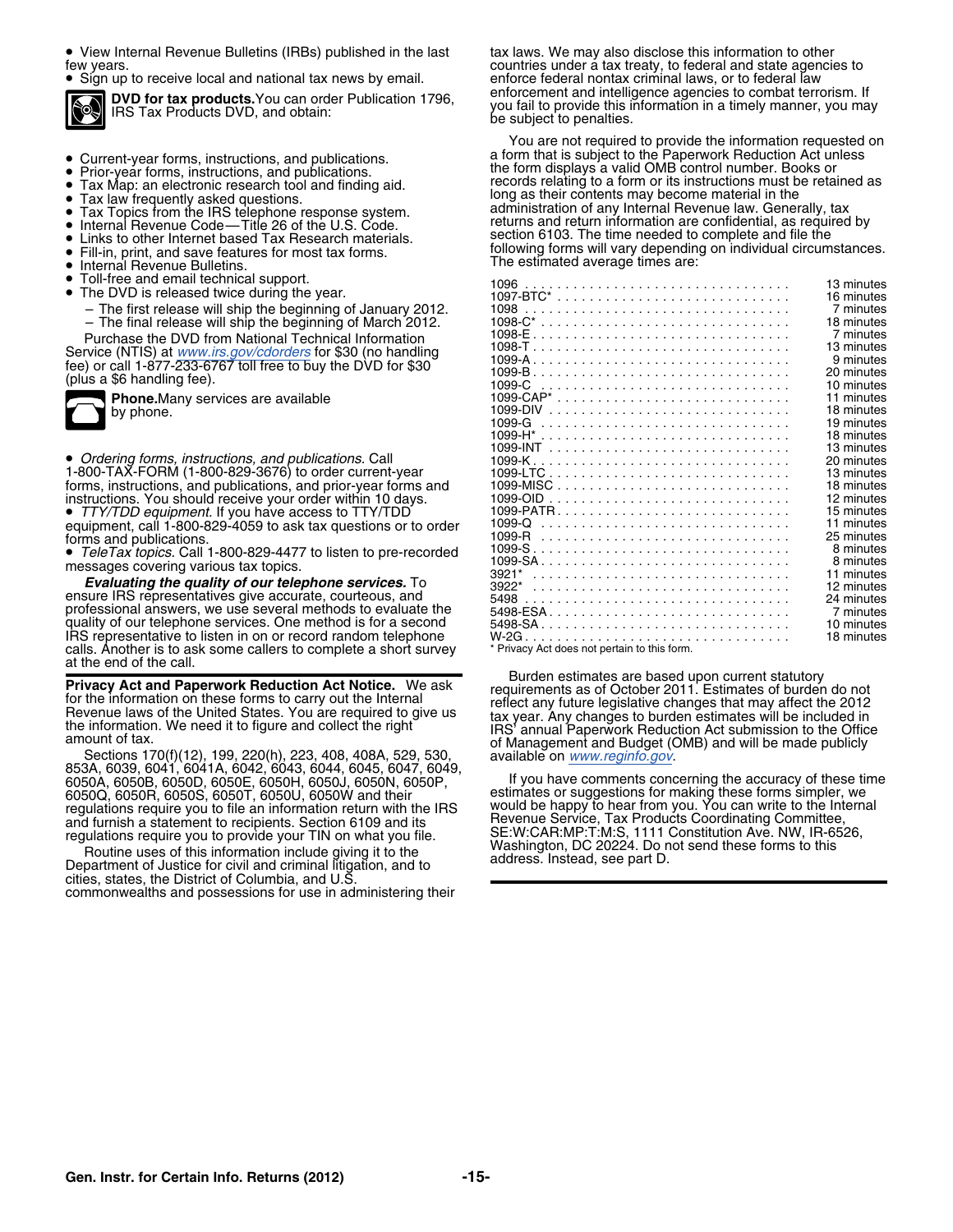• View Internal Revenue Bulletins (IRBs) published in the last tax laws. We may also disclose this information to other

 $\bullet$  Sign up to receive local and national tax news by email.  $\qquad \qquad$  enforce federal nontax criminal laws, or to federal law



- 
- 
- 
- 
- 
- 
- 
- **Fill-in, print, and save features for most tax forms.**<br>**•** Internal Bevenue Bulletins
- Internal Revenue Bulletins. •
- Toll-free and email technical support.
- - The first release will ship the beginning of January 2012.
	- The final release will ship the beginning of March 2012.

|  |  | ц<br>m |
|--|--|--------|
|--|--|--------|

**Evaluating the quality of our telephone services.** To ensure IRS representatives give accurate, courteous, and professional answers, we use several methods to evaluate the quality of our telephone services. One method is for a second IRS representative to listen in on or record random telephone W-2G ................................ . 18 minutes calls. Another is to ask some callers to complete a short survey at the end of the call.

6050A, 6050B, 6050D, 6050E, 6050H, 6050J, 6050N, 6050P, If you have comments concerning the accuracy of these time 6050Q, 6050R, 6050S, 6050T, 6050U, 6050W and their estimates or suggestions for making these forms simpler, we would be happy to hear from you. You can write to the Internal regulations require you to file an information return with the IRS would be happy to hear from you. You can write to the Internal require internal require  $\alpha$ and furnish a statement to recipients. Section 6109 and its regulations require you to provide your TIN on what you file.

cities, states, the District of Columbia, and U.S. commonwealths and possessions for use in administering their

few years.<br>• Sign up to receive local and national tax news by email. enforce federal nontax criminal laws, or to federal law **DVD for tax products.** You can order Publication 1796, enforcement and intelligence agencies to combat terrorism. If<br>IRS Tax Products DVD, and obtain: pour fail to provide this information in a timely manner, you may<br>be s

You are not required to provide the information requested on ● Current-year forms, instructions, and publications. a form that is subject to the Paperwork Reduction Act unless<br>● Prior-year forms, instructions, and publications. the form displays a valid OMB control n ● Prior-year forms, instructions, and publications. records in the form displays a valid OMB control number. Books or<br>● Tax Map: an electronic research tool and finding aid. records relating to a form or its instruc Tax Map: an electronic research tool and finding aid. local theorics relating to a form or its instructions must b<br>• Tax law frequently asked questions. • Tax law frequently asked questions. The main grace. The long as their contents may become material in the Tax Topics from the IRS telephone response system. administration of any Internal Revenue law. Generally, tax **•** ■ Tax Topics from the IRS telephone response system.<br>● Internal Revenue Code—Title 26 of the U.S. Code. returns and return information are confidential, as required by Internal Revenue Code—This 26 of the U.S. Code.<br>Links to other Internet based Tax Research materials. Section 6103. The time needed to complete and file the ■ Eill-in, print, and save features for most tax forms. Following forms will vary depending on individual circumstances.<br>■ Internal Bevenue Bulletins

| $\bullet$ Toll-flee and email technical support.                    |      | 13 minutes |
|---------------------------------------------------------------------|------|------------|
| • The DVD is released twice during the year.                        |      | 16 minutes |
| - The first release will ship the beginning of January 2012.        |      | 7 minutes  |
| - The final release will ship the beginning of March 2012.          |      | 18 minutes |
| Purchase the DVD from National Technical Information                |      | 7 minutes  |
| Service (NTIS) at <i>www.irs.gov/cdorders</i> for \$30 (no handling |      | 13 minutes |
| fee) or call 1-877-233-6767 toll free to buy the DVD for \$30`      |      | 9 minutes  |
| (plus a \$6 handling fee).                                          |      | 20 minutes |
|                                                                     |      | 10 minutes |
| <b>Phone.</b> Many services are available                           |      | 11 minutes |
| by phone.                                                           |      | 18 minutes |
|                                                                     |      | 19 minutes |
|                                                                     |      | 18 minutes |
|                                                                     |      | 13 minutes |
| • Ordering forms, instructions, and publications. Call              |      | 20 minutes |
| 1-800-TAX-FORM (1-800-829-3676) to order current-year               |      | 13 minutes |
| forms, instructions, and publications, and prior-year forms and     |      | 18 minutes |
| instructions. You should receive your order within 10 days.         |      | 12 minutes |
| • TTY/TDD equipment. If you have access to TTY/TDD                  |      | 15 minutes |
| equipment, call 1-800-829-4059 to ask tax questions or to order     |      | 11 minutes |
| forms and publications.                                             |      | 25 minutes |
| • TeleTax topics. Call 1-800-829-4477 to listen to pre-recorded     |      | 8 minutes  |
| messages covering various tax topics.                               |      | 8 minutes  |
| <b>Evaluating the quality of our telephone services.</b> To         |      | 11 minutes |
|                                                                     |      | 12 minutes |
| ensure IRS representatives give accurate, courteous, and            | 5498 | 24 minutes |
| professional answers, we use several methods to evaluate the        |      | 7 minutes  |
| quality of our telephone services. One method is for a second       |      | 10 minutes |
| IRS representative to listen in on or record random telephone       |      | 18 minutes |

**Privacy Act and Paperwork Reduction Act Notice.** We ask<br>for the information on these forms to carry out the Internal<br>Revenue laws of the United States. You are required to give us<br>the information. We need it to figure and

regulations require you to provide your TIN on what you file.<br>
TE:W:CAR:MP:T:M:S, 1111 Constitution Ave. NW, IR-6526,<br>
Routine uses of this information include giving it to the<br>
Department of Justice for civil and criminal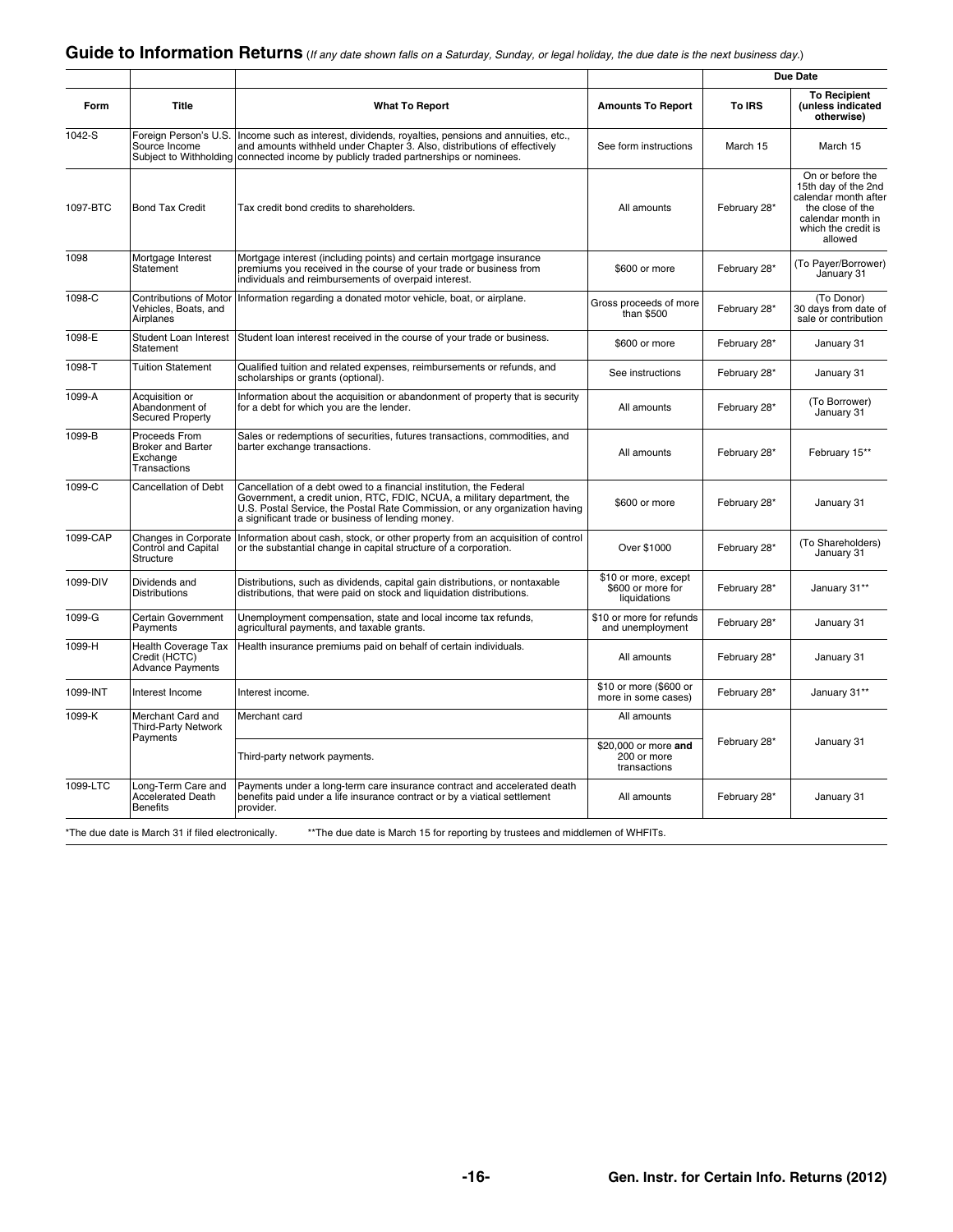|                                                                       |                                                                        |                                                                                                                                                                                                                                                                                    |                                                           |              | <b>Due Date</b>                                                                                                                            |
|-----------------------------------------------------------------------|------------------------------------------------------------------------|------------------------------------------------------------------------------------------------------------------------------------------------------------------------------------------------------------------------------------------------------------------------------------|-----------------------------------------------------------|--------------|--------------------------------------------------------------------------------------------------------------------------------------------|
| Form                                                                  | Title                                                                  | <b>What To Report</b>                                                                                                                                                                                                                                                              | <b>Amounts To Report</b>                                  | To IRS       | <b>To Recipient</b><br>(unless indicated<br>otherwise)                                                                                     |
| 1042-S                                                                | Foreign Person's U.S.<br>Source Income<br>Subject to Withholding       | Income such as interest, dividends, royalties, pensions and annuities, etc.,<br>and amounts withheld under Chapter 3. Also, distributions of effectively<br>connected income by publicly traded partnerships or nominees.                                                          | See form instructions                                     | March 15     | March 15                                                                                                                                   |
| 1097-BTC                                                              | <b>Bond Tax Credit</b>                                                 | Tax credit bond credits to shareholders.                                                                                                                                                                                                                                           | All amounts                                               | February 28* | On or before the<br>15th day of the 2nd<br>calendar month after<br>the close of the<br>calendar month in<br>which the credit is<br>allowed |
| 1098                                                                  | Mortgage Interest<br>Statement                                         | Mortgage interest (including points) and certain mortgage insurance<br>premiums you received in the course of your trade or business from<br>individuals and reimbursements of overpaid interest.                                                                                  | \$600 or more                                             | February 28* | (To Payer/Borrower)<br>January 31                                                                                                          |
| 1098-C                                                                | <b>Contributions of Motor</b><br>Vehicles, Boats, and<br>Airplanes     | Information regarding a donated motor vehicle, boat, or airplane.                                                                                                                                                                                                                  | Gross proceeds of more<br>than \$500                      | February 28* | (To Donor)<br>30 days from date of<br>sale or contribution                                                                                 |
| 1098-E                                                                | Student Loan Interest<br>Statement                                     | Student loan interest received in the course of your trade or business.                                                                                                                                                                                                            | \$600 or more                                             | February 28* | January 31                                                                                                                                 |
| 1098-T                                                                | <b>Tuition Statement</b>                                               | Qualified tuition and related expenses, reimbursements or refunds, and<br>scholarships or grants (optional).                                                                                                                                                                       | See instructions                                          | February 28* | January 31                                                                                                                                 |
| 1099-A                                                                | Acquisition or<br>Abandonment of<br><b>Secured Property</b>            | Information about the acquisition or abandonment of property that is security<br>for a debt for which you are the lender.                                                                                                                                                          | All amounts                                               | February 28* | (To Borrower)<br>January 31                                                                                                                |
| 1099-B                                                                | Proceeds From<br><b>Broker and Barter</b><br>Exchange<br>Transactions  | Sales or redemptions of securities, futures transactions, commodities, and<br>barter exchange transactions.                                                                                                                                                                        | All amounts                                               | February 28* | February 15**                                                                                                                              |
| 1099-C                                                                | <b>Cancellation of Debt</b>                                            | Cancellation of a debt owed to a financial institution, the Federal<br>Government, a credit union, RTC, FDIC, NCUA, a military department, the<br>U.S. Postal Service, the Postal Rate Commission, or any organization having<br>a significant trade or business of lending money. | \$600 or more                                             | February 28* | January 31                                                                                                                                 |
| 1099-CAP                                                              | Changes in Corporate<br>Control and Capital<br>Structure               | Information about cash, stock, or other property from an acquisition of control<br>or the substantial change in capital structure of a corporation.                                                                                                                                | Over \$1000                                               | February 28* | (To Shareholders)<br>January 31                                                                                                            |
| 1099-DIV                                                              | Dividends and<br><b>Distributions</b>                                  | Distributions, such as dividends, capital gain distributions, or nontaxable<br>distributions, that were paid on stock and liquidation distributions.                                                                                                                               | \$10 or more, except<br>\$600 or more for<br>liquidations | February 28* | January 31**                                                                                                                               |
| 1099-G                                                                | Certain Government<br>Payments                                         | Unemployment compensation, state and local income tax refunds,<br>agricultural payments, and taxable grants.                                                                                                                                                                       | \$10 or more for refunds<br>and unemployment              | February 28* | January 31                                                                                                                                 |
| 1099-H                                                                | <b>Health Coverage Tax</b><br>Credit (HCTC)<br><b>Advance Payments</b> | Health insurance premiums paid on behalf of certain individuals.                                                                                                                                                                                                                   | All amounts                                               | February 28* | January 31                                                                                                                                 |
| 1099-INT                                                              | Interest Income                                                        | Interest income.                                                                                                                                                                                                                                                                   | \$10 or more (\$600 or<br>more in some cases)             | February 28* | January 31**                                                                                                                               |
| 1099-K<br>Merchant Card and<br><b>Third-Party Network</b><br>Payments |                                                                        | Merchant card                                                                                                                                                                                                                                                                      | All amounts                                               |              |                                                                                                                                            |
|                                                                       |                                                                        | Third-party network payments.                                                                                                                                                                                                                                                      | \$20,000 or more and<br>200 or more<br>transactions       | February 28* | January 31                                                                                                                                 |
| 1099-LTC                                                              | Long-Term Care and<br><b>Accelerated Death</b><br><b>Benefits</b>      | Payments under a long-term care insurance contract and accelerated death<br>benefits paid under a life insurance contract or by a viatical settlement<br>provider.                                                                                                                 | All amounts                                               | February 28* | January 31                                                                                                                                 |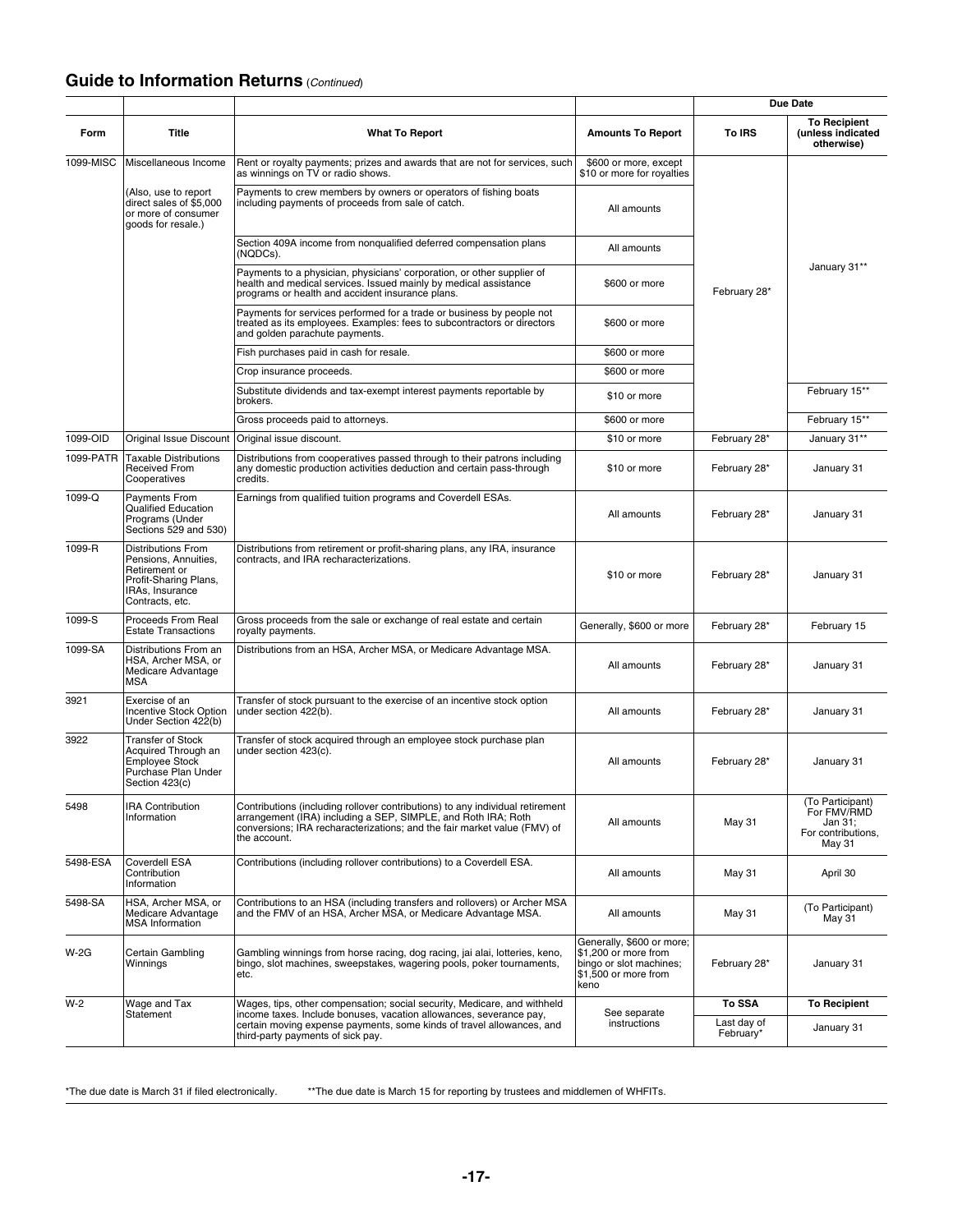### **Guide to Information Returns** (*Continued*)

|             |                                                                                                                                   |                                                                                                                                                                                                                                            |                                                                                                              |                          | Due Date                                                                   |
|-------------|-----------------------------------------------------------------------------------------------------------------------------------|--------------------------------------------------------------------------------------------------------------------------------------------------------------------------------------------------------------------------------------------|--------------------------------------------------------------------------------------------------------------|--------------------------|----------------------------------------------------------------------------|
| Form        | Title                                                                                                                             | <b>What To Report</b>                                                                                                                                                                                                                      | <b>Amounts To Report</b>                                                                                     | To IRS                   | <b>To Recipient</b><br>(unless indicated<br>otherwise)                     |
| 1099-MISC   | Miscellaneous Income                                                                                                              | Rent or royalty payments; prizes and awards that are not for services, such<br>as winnings on TV or radio shows.                                                                                                                           | \$600 or more, except<br>\$10 or more for royalties                                                          |                          |                                                                            |
|             | (Also, use to report<br>direct sales of \$5,000<br>or more of consumer<br>goods for resale.)                                      | Payments to crew members by owners or operators of fishing boats<br>including payments of proceeds from sale of catch.                                                                                                                     | All amounts                                                                                                  |                          |                                                                            |
|             |                                                                                                                                   | Section 409A income from nonqualified deferred compensation plans<br>(NQDCs).                                                                                                                                                              | All amounts                                                                                                  |                          |                                                                            |
|             |                                                                                                                                   | Payments to a physician, physicians' corporation, or other supplier of<br>health and medical services. Issued mainly by medical assistance<br>programs or health and accident insurance plans.                                             | \$600 or more                                                                                                | February 28*             | January 31**                                                               |
|             |                                                                                                                                   | Payments for services performed for a trade or business by people not<br>treated as its employees. Examples: fees to subcontractors or directors<br>and golden parachute payments.                                                         | \$600 or more                                                                                                |                          |                                                                            |
|             |                                                                                                                                   | Fish purchases paid in cash for resale.                                                                                                                                                                                                    | \$600 or more                                                                                                |                          |                                                                            |
|             |                                                                                                                                   | Crop insurance proceeds.                                                                                                                                                                                                                   | \$600 or more                                                                                                |                          |                                                                            |
|             |                                                                                                                                   | Substitute dividends and tax-exempt interest payments reportable by<br>brokers.                                                                                                                                                            | \$10 or more                                                                                                 |                          | February 15**                                                              |
|             |                                                                                                                                   | Gross proceeds paid to attorneys.                                                                                                                                                                                                          | \$600 or more                                                                                                |                          | February 15**                                                              |
| 1099-OID    | <b>Original Issue Discount</b>                                                                                                    | Original issue discount.                                                                                                                                                                                                                   | \$10 or more                                                                                                 | February 28*             | January 31**                                                               |
| 1099-PATR   | <b>Taxable Distributions</b><br>Received From<br>Cooperatives                                                                     | Distributions from cooperatives passed through to their patrons including<br>any domestic production activities deduction and certain pass-through<br>credits.                                                                             | \$10 or more                                                                                                 | February 28*             | January 31                                                                 |
| 1099-Q      | <b>Payments From</b><br>Qualified Education<br>Programs (Under<br>Sections 529 and 530)                                           | Earnings from qualified tuition programs and Coverdell ESAs.                                                                                                                                                                               | All amounts                                                                                                  | February 28*             | January 31                                                                 |
| 1099-R      | <b>Distributions From</b><br>Pensions, Annuities,<br>Retirement or<br>Profit-Sharing Plans,<br>IRAs, Insurance<br>Contracts, etc. | Distributions from retirement or profit-sharing plans, any IRA, insurance<br>contracts, and IRA recharacterizations.                                                                                                                       | \$10 or more                                                                                                 | February 28*             | January 31                                                                 |
| 1099-S      | Proceeds From Real<br><b>Estate Transactions</b>                                                                                  | Gross proceeds from the sale or exchange of real estate and certain<br>royalty payments.                                                                                                                                                   | Generally, \$600 or more                                                                                     | February 28*             | February 15                                                                |
| 1099-SA     | Distributions From an<br>HSA, Archer MSA, or<br>Medicare Advantage<br><b>MSA</b>                                                  | Distributions from an HSA, Archer MSA, or Medicare Advantage MSA.                                                                                                                                                                          | All amounts                                                                                                  | February 28*             | January 31                                                                 |
| 3921        | Exercise of an<br>Incentive Stock Option<br>Under Section 422(b)                                                                  | Transfer of stock pursuant to the exercise of an incentive stock option<br>under section 422(b).                                                                                                                                           | All amounts                                                                                                  | February 28*             | January 31                                                                 |
| 3922        | Transfer of Stock<br>Acquired Through an<br>Employee Stock<br>Purchase Plan Under<br>Section 423(c)                               | Transfer of stock acquired through an employee stock purchase plan<br>under section 423(c).                                                                                                                                                | All amounts                                                                                                  | February 28*             | January 31                                                                 |
| 5498        | <b>IRA Contribution</b><br>Information                                                                                            | Contributions (including rollover contributions) to any individual retirement<br>arrangement (IRA) including a SEP, SIMPLE, and Roth IRA; Roth<br>conversions; IRA recharacterizations; and the fair market value (FMV) of<br>the account. | All amounts                                                                                                  | May 31                   | (To Participant)<br>For FMV/RMD<br>Jan 31;<br>For contributions,<br>May 31 |
| 5498-ESA    | Coverdell ESA<br>Contribution<br>Information                                                                                      | Contributions (including rollover contributions) to a Coverdell ESA.                                                                                                                                                                       | All amounts                                                                                                  | <b>May 31</b>            | April 30                                                                   |
| 5498-SA     | HSA, Archer MSA, or<br>Medicare Advantage<br><b>MSA</b> Information                                                               | Contributions to an HSA (including transfers and rollovers) or Archer MSA<br>and the FMV of an HSA, Archer MSA, or Medicare Advantage MSA.                                                                                                 | All amounts                                                                                                  | <b>May 31</b>            | (To Participant)<br><b>May 31</b>                                          |
| <b>W-2G</b> | Certain Gambling<br>Winnings                                                                                                      | Gambling winnings from horse racing, dog racing, jai alai, lotteries, keno,<br>bingo, slot machines, sweepstakes, wagering pools, poker tournaments,<br>etc.                                                                               | Generally, \$600 or more;<br>\$1.200 or more from<br>bingo or slot machines;<br>\$1,500 or more from<br>keno | February 28*             | January 31                                                                 |
| $W-2$       | Wage and Tax                                                                                                                      | Wages, tips, other compensation; social security, Medicare, and withheld                                                                                                                                                                   |                                                                                                              | To SSA                   | <b>To Recipient</b>                                                        |
|             | Statement                                                                                                                         | income taxes. Include bonuses, vacation allowances, severance pay,<br>certain moving expense payments, some kinds of travel allowances, and<br>third-party payments of sick pay.                                                           | See separate<br>instructions                                                                                 | Last day of<br>February* | January 31                                                                 |

\*The due date is March 31 if filed electronically. \*\*The due date is March 15 for reporting by trustees and middlemen of WHFITs.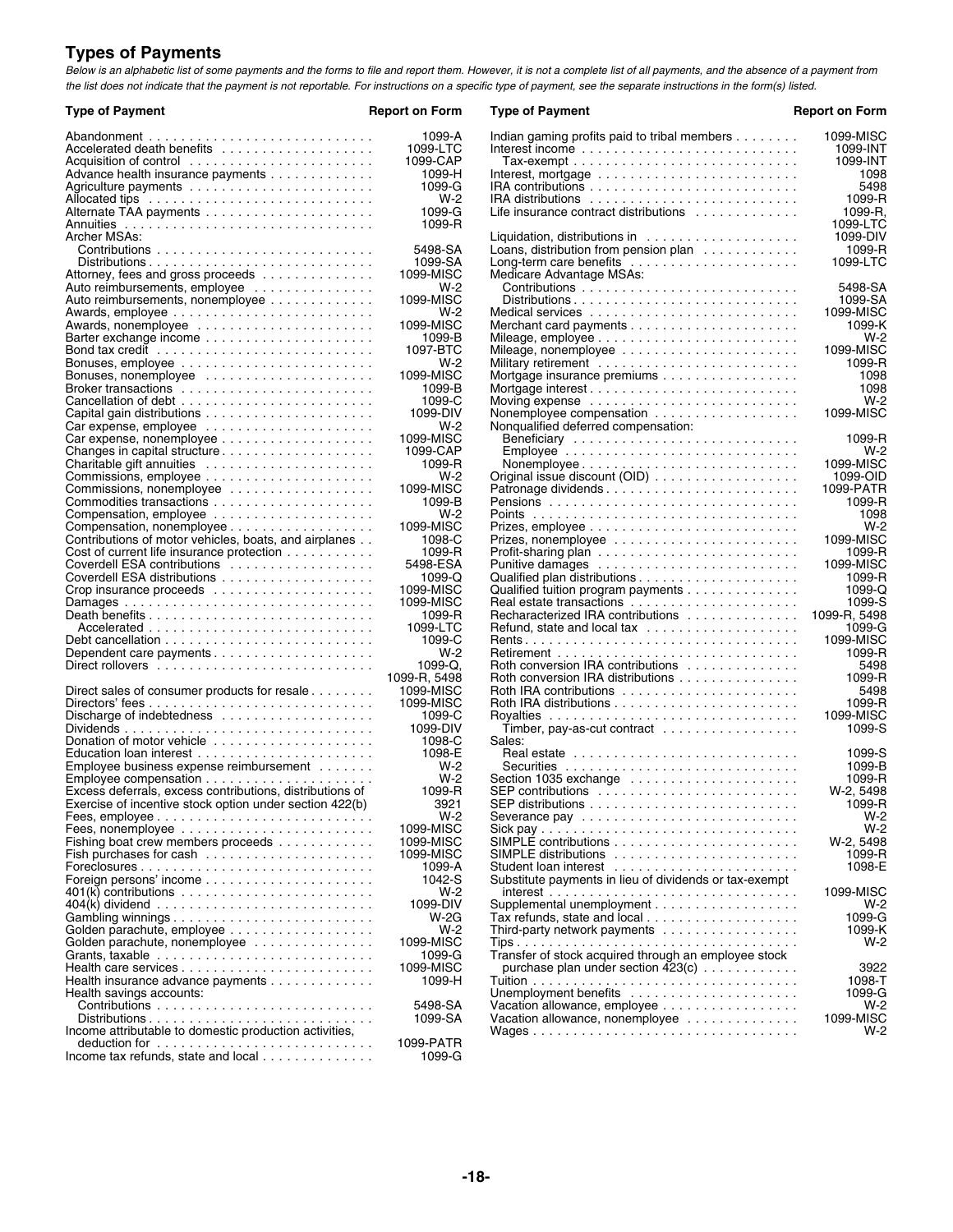### **Types of Payments**

*Below is an alphabetic list of some payments and the forms to file and report them. However, it is not a complete list of all payments, and the absence of a payment from the list does not indicate that the payment is not reportable. For instructions on a specific type of payment, see the separate instructions in the form(s) listed.*

| <b>Type of Payment</b>                                                                | <b>Report on Form</b> | <b>Type of Payment</b>                                                       |
|---------------------------------------------------------------------------------------|-----------------------|------------------------------------------------------------------------------|
|                                                                                       | 1099-A                | Indian gaming profits paid to tribal members                                 |
| Accelerated death benefits                                                            | 1099-LTC              |                                                                              |
|                                                                                       | 1099-CAP              |                                                                              |
| Advance health insurance payments                                                     | 1099-H                | Interest, mortgage $\ldots \ldots \ldots \ldots \ldots \ldots \ldots \ldots$ |
|                                                                                       | 1099-G                |                                                                              |
|                                                                                       | $W-2$                 |                                                                              |
|                                                                                       | 1099-G                | Life insurance contract distributions                                        |
|                                                                                       | 1099-R                |                                                                              |
| Archer MSAs:                                                                          |                       | Liquidation, distributions in $\ldots \ldots \ldots \ldots \ldots$           |
|                                                                                       | 5498-SA               | Loans, distribution from pension plan                                        |
| $Distributions \ldots \ldots \ldots \ldots \ldots \ldots \ldots \ldots \ldots \ldots$ | 1099-SA               | Long-term care benefits $\ldots \ldots \ldots \ldots \ldots \ldots$          |
| Attorney, fees and gross proceeds                                                     | 1099-MISC             | Medicare Advantage MSAs:                                                     |
| Auto reimbursements, employee                                                         | $W-2$                 |                                                                              |
| Auto reimbursements, nonemployee                                                      | 1099-MISC             |                                                                              |
|                                                                                       | $W-2$                 | Medical services                                                             |
|                                                                                       | 1099-MISC             |                                                                              |
| Barter exchange income                                                                | 1099-B                |                                                                              |
|                                                                                       | 1097-BTC              |                                                                              |
| Bonuses, employee $\ldots \ldots \ldots \ldots \ldots \ldots \ldots$                  | $W-2$                 |                                                                              |
|                                                                                       | 1099-MISC             | Mortgage insurance premiums                                                  |
|                                                                                       | 1099-B                |                                                                              |
|                                                                                       | 1099-C                |                                                                              |
|                                                                                       | 1099-DIV              | Nonemployee compensation                                                     |
| Car expense, employee $\ldots \ldots \ldots \ldots \ldots \ldots$                     | $W-2$                 | Nonqualified deferred compensation:                                          |
|                                                                                       | 1099-MISC             |                                                                              |
|                                                                                       | 1099-CAP              |                                                                              |
|                                                                                       | 1099-R                |                                                                              |
|                                                                                       | $W-2$                 | Nonemployee                                                                  |
|                                                                                       |                       | Original issue discount (OID)                                                |
| Commissions, nonemployee                                                              | 1099-MISC             |                                                                              |
|                                                                                       | 1099-B                |                                                                              |
|                                                                                       | $W-2$                 |                                                                              |
| Compensation, nonemployee $\ldots \ldots \ldots \ldots \ldots \ldots$                 | 1099-MISC             |                                                                              |
| Contributions of motor vehicles, boats, and airplanes                                 | 1098-C                |                                                                              |
| Cost of current life insurance protection                                             | 1099-R                |                                                                              |
| Coverdell ESA contributions                                                           | 5498-ESA              |                                                                              |
|                                                                                       | $1099 - Q$            |                                                                              |
|                                                                                       | 1099-MISC             | Qualified tuition program payments                                           |
|                                                                                       | 1099-MISC             | Real estate transactions                                                     |
|                                                                                       | 1099-R                | Recharacterized IRA contributions                                            |
|                                                                                       | 1099-LTC              | Refund, state and local tax                                                  |
|                                                                                       | 1099-C                |                                                                              |
|                                                                                       | $W-2$                 |                                                                              |
|                                                                                       | $1099 - Q$ .          | Roth conversion IRA contributions                                            |
|                                                                                       | 1099-R, 5498          | Roth conversion IRA distributions                                            |
| Direct sales of consumer products for resale $\ldots \ldots$                          | 1099-MISC             | Roth IRA contributions                                                       |
|                                                                                       | 1099-MISC             |                                                                              |
|                                                                                       | 1099-C                |                                                                              |
|                                                                                       | 1099-DIV              | Timber, pay-as-cut contract $\ldots \ldots \ldots \ldots \ldots$             |
|                                                                                       | 1098-C                | Sales:                                                                       |
|                                                                                       | 1098-E                |                                                                              |
| Employee business expense reimbursement                                               | $W-2$                 |                                                                              |
|                                                                                       | W-2                   |                                                                              |
| Excess deferrals, excess contributions, distributions of                              | 1099-R                | $SEP$ contributions $\ldots \ldots \ldots \ldots \ldots \ldots \ldots$       |
| Exercise of incentive stock option under section 422(b)                               | 3921                  | SEP distributions .........................                                  |
|                                                                                       | $W-2$                 |                                                                              |
|                                                                                       | 1099-MISC             |                                                                              |
| Fishing boat crew members proceeds                                                    | 1099-MISC             |                                                                              |
|                                                                                       | 1099-MISC             |                                                                              |
| $For eclosures \ldots \ldots \ldots \ldots \ldots \ldots \ldots \ldots$               | 1099-A                |                                                                              |
|                                                                                       | 1042-S                | Substitute payments in lieu of dividends or tax-exempt                       |
| $401(k)$ contributions $\ldots \ldots \ldots \ldots \ldots \ldots \ldots \ldots$      | $W-2$                 |                                                                              |
|                                                                                       | 1099-DIV              | Supplemental unemployment                                                    |
| Gambling winnings                                                                     | W-2G                  | Tax refunds, state and local                                                 |
| Golden parachute, employee                                                            | $W-2$                 | Third-party network payments                                                 |
| Golden parachute, nonemployee                                                         | 1099-MISC             |                                                                              |
|                                                                                       | 1099-G                | Transfer of stock acquired through an employee stock                         |
|                                                                                       | 1099-MISC             | purchase plan under section 423(c)                                           |
| Health insurance advance payments                                                     | 1099-H                |                                                                              |
| Health savings accounts:                                                              |                       |                                                                              |
|                                                                                       | 5498-SA               | Vacation allowance, employee                                                 |
|                                                                                       | 1099-SA               | Vacation allowance, nonemployee                                              |
| Income attributable to domestic production activities,                                |                       | Wages                                                                        |
|                                                                                       | 1099-PATR             |                                                                              |
| Income tax refunds, state and local                                                   | 1099-G                |                                                                              |

| <b>Type of Payment</b>                                                     | <b>Report on Form</b> | <b>Type of Payment</b>                                                        | <b>Report on Form</b> |
|----------------------------------------------------------------------------|-----------------------|-------------------------------------------------------------------------------|-----------------------|
|                                                                            | 1099-A                | Indian gaming profits paid to tribal members                                  | 1099-MISC             |
| Accelerated death benefits                                                 | 1099-LTC              | Interest income $\ldots \ldots \ldots \ldots \ldots \ldots \ldots \ldots$     | 1099-INT              |
|                                                                            | 1099-CAP              |                                                                               | 1099-INT              |
| Advance health insurance payments                                          | 1099-H                | Interest, mortgage $\ldots \ldots \ldots \ldots \ldots \ldots \ldots \ldots$  | 1098                  |
|                                                                            | 1099-G                |                                                                               | 5498                  |
|                                                                            | W-2                   | IRA distributions $\ldots \ldots \ldots \ldots \ldots \ldots \ldots \ldots$   | 1099-R                |
|                                                                            | $1099-G$              | Life insurance contract distributions                                         | 1099-R.               |
| Annuities                                                                  | 1099-R                |                                                                               | 1099-LTC              |
| Archer MSAs:                                                               |                       | Liquidation, distributions in $\ldots \ldots \ldots \ldots \ldots$            | 1099-DIV              |
|                                                                            | 5498-SA               | Loans, distribution from pension plan                                         | 1099-R                |
|                                                                            | 1099-SA               | Long-term care benefits $\ldots \ldots \ldots \ldots \ldots \ldots$           | 1099-LTC              |
|                                                                            | 1099-MISC             |                                                                               |                       |
| Attorney, fees and gross proceeds                                          | W-2                   | Medicare Advantage MSAs:                                                      | 5498-SA               |
| Auto reimbursements, employee                                              |                       |                                                                               |                       |
| Auto reimbursements, nonemployee                                           | 1099-MISC             | $Distributions.$                                                              | 1099-SA               |
|                                                                            | W-2                   |                                                                               | 1099-MISC             |
| Awards, nonemployee                                                        | 1099-MISC             |                                                                               | 1099-K                |
|                                                                            | 1099-B                |                                                                               | $W-2$                 |
|                                                                            | 1097-BTC              | Mileage, nonemployee                                                          | 1099-MISC             |
|                                                                            | W-2                   | Military retirement                                                           | 1099-R                |
| Bonuses, nonemployee                                                       | 1099-MISC             | Mortgage insurance premiums                                                   | 1098                  |
| Broker transactions                                                        | 1099-B                |                                                                               | 1098                  |
|                                                                            | 1099-C                |                                                                               | $W-2$                 |
|                                                                            | 1099-DIV              | Nonemployee compensation                                                      | 1099-MISC             |
|                                                                            | W-2                   | Nonqualified deferred compensation:                                           |                       |
|                                                                            | 1099-MISC             |                                                                               | 1099-R                |
|                                                                            | 1099-CAP              |                                                                               | $W-2$                 |
|                                                                            | 1099-R                | Nonemployee                                                                   | 1099-MISC             |
|                                                                            | W-2                   | Original issue discount (OID)                                                 | 1099-OID              |
| Commissions, nonemployee                                                   | 1099-MISC             |                                                                               | 1099-PATR             |
|                                                                            | 1099-B                |                                                                               | 1099-R                |
| Compensation, employee                                                     | W-2                   |                                                                               | 1098                  |
| Compensation, nonemployee                                                  | 1099-MISC             |                                                                               | $W-2$                 |
| Contributions of motor vehicles, boats, and airplanes                      | 1098-C                | Prizes, nonemployee $\ldots \ldots \ldots \ldots \ldots \ldots \ldots$        | 1099-MISC             |
| Cost of current life insurance protection                                  | 1099-R                | Profit-sharing plan $\ldots \ldots \ldots \ldots \ldots \ldots \ldots \ldots$ | 1099-R                |
| Coverdell ESA contributions                                                | 5498-ESA              |                                                                               | 1099-MISC             |
|                                                                            | $1099 - Q$            |                                                                               | 1099-R                |
| Crop insurance proceeds $\ldots \ldots \ldots \ldots \ldots \ldots \ldots$ | 1099-MISC             | Qualified tuition program payments                                            | 1099-Q                |
|                                                                            | 1099-MISC             |                                                                               | 1099-S                |
|                                                                            | 1099-R                | Recharacterized IRA contributions                                             | 1099-R, 5498          |
|                                                                            | 1099-LTC              |                                                                               | 1099-G                |
|                                                                            | 1099-C                |                                                                               | 1099-MISC             |
|                                                                            | W-2                   |                                                                               | 1099-R                |
|                                                                            | $1099 - Q$ .          | Roth conversion IRA contributions $\ldots \ldots \ldots \ldots$               | 5498                  |
|                                                                            | 1099-R, 5498          | Roth conversion IRA distributions                                             | 1099-R                |
| Direct sales of consumer products for resale                               | 1099-MISC             | Roth IRA contributions $\ldots \ldots \ldots \ldots \ldots \ldots \ldots$     | 5498                  |
|                                                                            | 1099-MISC             |                                                                               | 1099-R                |
| Discharge of indebtedness                                                  | 1099-C                |                                                                               | 1099-MISC             |
|                                                                            | 1099-DIV              | Timber, pay-as-cut contract $\ldots \ldots \ldots \ldots \ldots$              | 1099-S                |
|                                                                            | 1098-C                | Sales:                                                                        |                       |
|                                                                            | 1098-E                |                                                                               | 1099-S                |
| Employee business expense reimbursement                                    | W-2                   |                                                                               | 1099-B                |
|                                                                            | W-2                   | Section 1035 exchange                                                         | 1099-R                |
| Excess deferrals, excess contributions, distributions of                   | 1099-R                |                                                                               | W-2, 5498             |
|                                                                            |                       | SEP contributions $\ldots \ldots \ldots \ldots \ldots \ldots \ldots \ldots$   | 1099-R                |
| Exercise of incentive stock option under section 422(b)                    | 3921<br>$W-2$         | SEP distributions $\ldots \ldots \ldots \ldots \ldots \ldots \ldots \ldots$   | $W-2$                 |
|                                                                            | 1099-MISC             |                                                                               |                       |
|                                                                            |                       |                                                                               | $W-2$                 |
| Fishing boat crew members proceeds                                         | 1099-MISC             |                                                                               | W-2, 5498<br>1099-R   |
|                                                                            | 1099-MISC             |                                                                               |                       |
|                                                                            | 1099-A                |                                                                               | 1098-E                |
| Foreign persons' income                                                    | 1042-S                | Substitute payments in lieu of dividends or tax-exempt                        |                       |
|                                                                            | W-2                   |                                                                               | 1099-MISC             |
|                                                                            | 1099-DIV              |                                                                               | $W-2$                 |
|                                                                            | W-2G                  | Tax refunds, state and local $\ldots \ldots \ldots \ldots \ldots$             | 1099-G                |
| Golden parachute, employee                                                 | $W-2$                 | Third-party network payments                                                  | 1099-K                |
| Golden parachute, nonemployee                                              | 1099-MISC             |                                                                               | $W-2$                 |
|                                                                            | 1099-G                | Transfer of stock acquired through an employee stock                          |                       |
|                                                                            | 1099-MISC             | purchase plan under section $\overline{4}23(c)$                               | 3922                  |
| Health insurance advance payments                                          | 1099-H                |                                                                               | 1098-T                |
| Health savings accounts:                                                   |                       | Unemployment benefits $\ldots$ , , , , ,                                      | 1099-G                |
|                                                                            | 5498-SA               | Vacation allowance, employee                                                  | $W-2$                 |
|                                                                            | 1099-SA               | Vacation allowance, nonemployee $\ldots \ldots \ldots \ldots$                 | 1099-MISC             |
| Income attributable to domestic production activities,                     |                       |                                                                               | $W-2$                 |